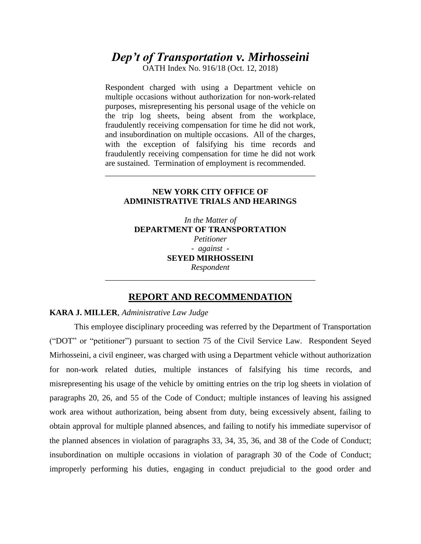# *Dep't of Transportation v. Mirhosseini*

OATH Index No. 916/18 (Oct. 12, 2018)

Respondent charged with using a Department vehicle on multiple occasions without authorization for non-work-related purposes, misrepresenting his personal usage of the vehicle on the trip log sheets, being absent from the workplace, fraudulently receiving compensation for time he did not work, and insubordination on multiple occasions. All of the charges, with the exception of falsifying his time records and fraudulently receiving compensation for time he did not work are sustained. Termination of employment is recommended.

## **NEW YORK CITY OFFICE OF ADMINISTRATIVE TRIALS AND HEARINGS**

\_\_\_\_\_\_\_\_\_\_\_\_\_\_\_\_\_\_\_\_\_\_\_\_\_\_\_\_\_\_\_\_\_\_\_\_\_\_\_\_\_\_\_\_\_\_\_\_\_\_\_

*In the Matter of* **DEPARTMENT OF TRANSPORTATION** *Petitioner - against -* **SEYED MIRHOSSEINI** *Respondent*

## **REPORT AND RECOMMENDATION**

\_\_\_\_\_\_\_\_\_\_\_\_\_\_\_\_\_\_\_\_\_\_\_\_\_\_\_\_\_\_\_\_\_\_\_\_\_\_\_\_\_\_\_\_\_\_\_\_\_\_\_

# **KARA J. MILLER**, *Administrative Law Judge*

This employee disciplinary proceeding was referred by the Department of Transportation ("DOT" or "petitioner") pursuant to section 75 of the Civil Service Law. Respondent Seyed Mirhosseini, a civil engineer, was charged with using a Department vehicle without authorization for non-work related duties, multiple instances of falsifying his time records, and misrepresenting his usage of the vehicle by omitting entries on the trip log sheets in violation of paragraphs 20, 26, and 55 of the Code of Conduct; multiple instances of leaving his assigned work area without authorization, being absent from duty, being excessively absent, failing to obtain approval for multiple planned absences, and failing to notify his immediate supervisor of the planned absences in violation of paragraphs 33, 34, 35, 36, and 38 of the Code of Conduct; insubordination on multiple occasions in violation of paragraph 30 of the Code of Conduct; improperly performing his duties, engaging in conduct prejudicial to the good order and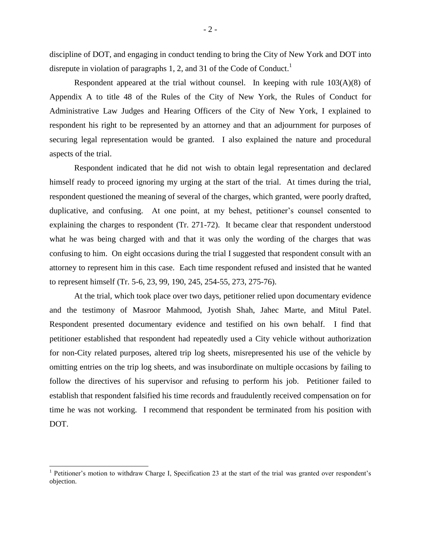discipline of DOT, and engaging in conduct tending to bring the City of New York and DOT into disrepute in violation of paragraphs 1, 2, and 31 of the Code of Conduct.<sup>1</sup>

Respondent appeared at the trial without counsel. In keeping with rule  $103(A)(8)$  of Appendix A to title 48 of the Rules of the City of New York, the Rules of Conduct for Administrative Law Judges and Hearing Officers of the City of New York, I explained to respondent his right to be represented by an attorney and that an adjournment for purposes of securing legal representation would be granted. I also explained the nature and procedural aspects of the trial.

Respondent indicated that he did not wish to obtain legal representation and declared himself ready to proceed ignoring my urging at the start of the trial. At times during the trial, respondent questioned the meaning of several of the charges, which granted, were poorly drafted, duplicative, and confusing. At one point, at my behest, petitioner's counsel consented to explaining the charges to respondent (Tr. 271-72). It became clear that respondent understood what he was being charged with and that it was only the wording of the charges that was confusing to him. On eight occasions during the trial I suggested that respondent consult with an attorney to represent him in this case. Each time respondent refused and insisted that he wanted to represent himself (Tr. 5-6, 23, 99, 190, 245, 254-55, 273, 275-76).

At the trial, which took place over two days, petitioner relied upon documentary evidence and the testimony of Masroor Mahmood, Jyotish Shah, Jahec Marte, and Mitul Patel. Respondent presented documentary evidence and testified on his own behalf. I find that petitioner established that respondent had repeatedly used a City vehicle without authorization for non-City related purposes, altered trip log sheets, misrepresented his use of the vehicle by omitting entries on the trip log sheets, and was insubordinate on multiple occasions by failing to follow the directives of his supervisor and refusing to perform his job. Petitioner failed to establish that respondent falsified his time records and fraudulently received compensation on for time he was not working. I recommend that respondent be terminated from his position with DOT.

 $\overline{a}$ 

<sup>&</sup>lt;sup>1</sup> Petitioner's motion to withdraw Charge I, Specification 23 at the start of the trial was granted over respondent's objection.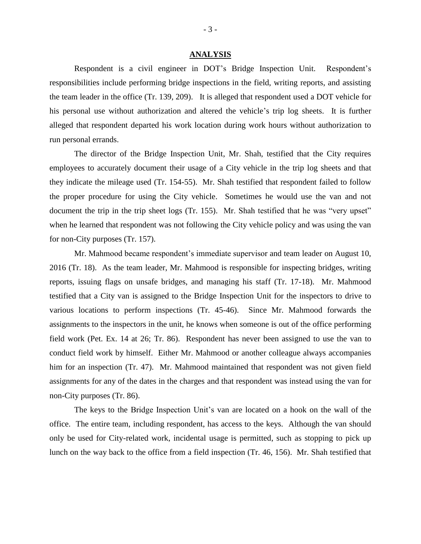#### **ANALYSIS**

Respondent is a civil engineer in DOT's Bridge Inspection Unit. Respondent's responsibilities include performing bridge inspections in the field, writing reports, and assisting the team leader in the office (Tr. 139, 209). It is alleged that respondent used a DOT vehicle for his personal use without authorization and altered the vehicle's trip log sheets. It is further alleged that respondent departed his work location during work hours without authorization to run personal errands.

The director of the Bridge Inspection Unit, Mr. Shah, testified that the City requires employees to accurately document their usage of a City vehicle in the trip log sheets and that they indicate the mileage used (Tr. 154-55). Mr. Shah testified that respondent failed to follow the proper procedure for using the City vehicle. Sometimes he would use the van and not document the trip in the trip sheet logs (Tr. 155). Mr. Shah testified that he was "very upset" when he learned that respondent was not following the City vehicle policy and was using the van for non-City purposes (Tr. 157).

Mr. Mahmood became respondent's immediate supervisor and team leader on August 10, 2016 (Tr. 18). As the team leader, Mr. Mahmood is responsible for inspecting bridges, writing reports, issuing flags on unsafe bridges, and managing his staff (Tr. 17-18). Mr. Mahmood testified that a City van is assigned to the Bridge Inspection Unit for the inspectors to drive to various locations to perform inspections (Tr. 45-46). Since Mr. Mahmood forwards the assignments to the inspectors in the unit, he knows when someone is out of the office performing field work (Pet. Ex. 14 at 26; Tr. 86). Respondent has never been assigned to use the van to conduct field work by himself. Either Mr. Mahmood or another colleague always accompanies him for an inspection (Tr. 47). Mr. Mahmood maintained that respondent was not given field assignments for any of the dates in the charges and that respondent was instead using the van for non-City purposes (Tr. 86).

The keys to the Bridge Inspection Unit's van are located on a hook on the wall of the office. The entire team, including respondent, has access to the keys. Although the van should only be used for City-related work, incidental usage is permitted, such as stopping to pick up lunch on the way back to the office from a field inspection (Tr. 46, 156). Mr. Shah testified that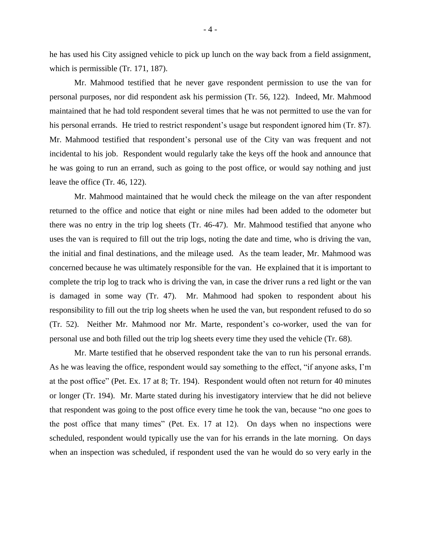he has used his City assigned vehicle to pick up lunch on the way back from a field assignment, which is permissible (Tr. 171, 187).

Mr. Mahmood testified that he never gave respondent permission to use the van for personal purposes, nor did respondent ask his permission (Tr. 56, 122). Indeed, Mr. Mahmood maintained that he had told respondent several times that he was not permitted to use the van for his personal errands. He tried to restrict respondent's usage but respondent ignored him (Tr. 87). Mr. Mahmood testified that respondent's personal use of the City van was frequent and not incidental to his job. Respondent would regularly take the keys off the hook and announce that he was going to run an errand, such as going to the post office, or would say nothing and just leave the office (Tr. 46, 122).

Mr. Mahmood maintained that he would check the mileage on the van after respondent returned to the office and notice that eight or nine miles had been added to the odometer but there was no entry in the trip log sheets (Tr. 46-47). Mr. Mahmood testified that anyone who uses the van is required to fill out the trip logs, noting the date and time, who is driving the van, the initial and final destinations, and the mileage used. As the team leader, Mr. Mahmood was concerned because he was ultimately responsible for the van. He explained that it is important to complete the trip log to track who is driving the van, in case the driver runs a red light or the van is damaged in some way (Tr. 47). Mr. Mahmood had spoken to respondent about his responsibility to fill out the trip log sheets when he used the van, but respondent refused to do so (Tr. 52). Neither Mr. Mahmood nor Mr. Marte, respondent's co-worker, used the van for personal use and both filled out the trip log sheets every time they used the vehicle (Tr. 68).

Mr. Marte testified that he observed respondent take the van to run his personal errands. As he was leaving the office, respondent would say something to the effect, "if anyone asks, I'm at the post office" (Pet. Ex. 17 at 8; Tr. 194). Respondent would often not return for 40 minutes or longer (Tr. 194). Mr. Marte stated during his investigatory interview that he did not believe that respondent was going to the post office every time he took the van, because "no one goes to the post office that many times" (Pet. Ex. 17 at 12). On days when no inspections were scheduled, respondent would typically use the van for his errands in the late morning. On days when an inspection was scheduled, if respondent used the van he would do so very early in the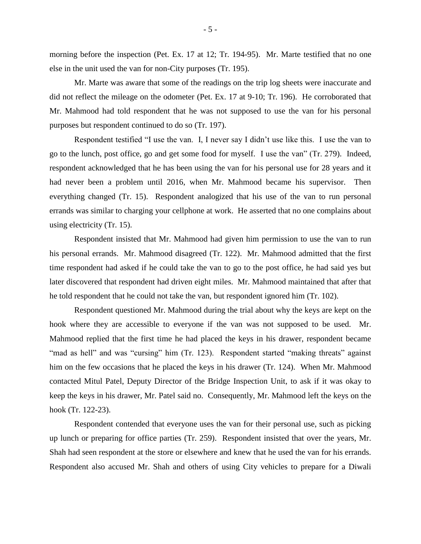morning before the inspection (Pet. Ex. 17 at 12; Tr. 194-95). Mr. Marte testified that no one else in the unit used the van for non-City purposes (Tr. 195).

Mr. Marte was aware that some of the readings on the trip log sheets were inaccurate and did not reflect the mileage on the odometer (Pet. Ex. 17 at 9-10; Tr. 196). He corroborated that Mr. Mahmood had told respondent that he was not supposed to use the van for his personal purposes but respondent continued to do so (Tr. 197).

Respondent testified "I use the van. I, I never say I didn't use like this. I use the van to go to the lunch, post office, go and get some food for myself. I use the van" (Tr. 279). Indeed, respondent acknowledged that he has been using the van for his personal use for 28 years and it had never been a problem until 2016, when Mr. Mahmood became his supervisor. Then everything changed (Tr. 15). Respondent analogized that his use of the van to run personal errands was similar to charging your cellphone at work. He asserted that no one complains about using electricity (Tr. 15).

Respondent insisted that Mr. Mahmood had given him permission to use the van to run his personal errands. Mr. Mahmood disagreed (Tr. 122). Mr. Mahmood admitted that the first time respondent had asked if he could take the van to go to the post office, he had said yes but later discovered that respondent had driven eight miles. Mr. Mahmood maintained that after that he told respondent that he could not take the van, but respondent ignored him (Tr. 102).

Respondent questioned Mr. Mahmood during the trial about why the keys are kept on the hook where they are accessible to everyone if the van was not supposed to be used. Mr. Mahmood replied that the first time he had placed the keys in his drawer, respondent became "mad as hell" and was "cursing" him (Tr. 123). Respondent started "making threats" against him on the few occasions that he placed the keys in his drawer (Tr. 124). When Mr. Mahmood contacted Mitul Patel, Deputy Director of the Bridge Inspection Unit, to ask if it was okay to keep the keys in his drawer, Mr. Patel said no. Consequently, Mr. Mahmood left the keys on the hook (Tr. 122-23).

Respondent contended that everyone uses the van for their personal use, such as picking up lunch or preparing for office parties (Tr. 259). Respondent insisted that over the years, Mr. Shah had seen respondent at the store or elsewhere and knew that he used the van for his errands. Respondent also accused Mr. Shah and others of using City vehicles to prepare for a Diwali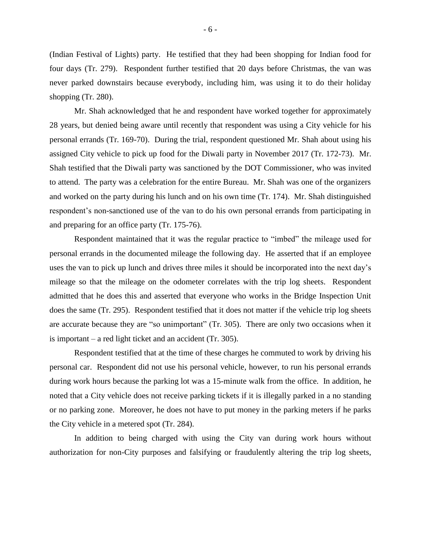(Indian Festival of Lights) party. He testified that they had been shopping for Indian food for four days (Tr. 279). Respondent further testified that 20 days before Christmas, the van was never parked downstairs because everybody, including him, was using it to do their holiday shopping (Tr. 280).

Mr. Shah acknowledged that he and respondent have worked together for approximately 28 years, but denied being aware until recently that respondent was using a City vehicle for his personal errands (Tr. 169-70). During the trial, respondent questioned Mr. Shah about using his assigned City vehicle to pick up food for the Diwali party in November 2017 (Tr. 172-73). Mr. Shah testified that the Diwali party was sanctioned by the DOT Commissioner, who was invited to attend. The party was a celebration for the entire Bureau. Mr. Shah was one of the organizers and worked on the party during his lunch and on his own time (Tr. 174). Mr. Shah distinguished respondent's non-sanctioned use of the van to do his own personal errands from participating in and preparing for an office party (Tr. 175-76).

Respondent maintained that it was the regular practice to "imbed" the mileage used for personal errands in the documented mileage the following day. He asserted that if an employee uses the van to pick up lunch and drives three miles it should be incorporated into the next day's mileage so that the mileage on the odometer correlates with the trip log sheets. Respondent admitted that he does this and asserted that everyone who works in the Bridge Inspection Unit does the same (Tr. 295). Respondent testified that it does not matter if the vehicle trip log sheets are accurate because they are "so unimportant" (Tr. 305). There are only two occasions when it is important – a red light ticket and an accident (Tr. 305).

Respondent testified that at the time of these charges he commuted to work by driving his personal car. Respondent did not use his personal vehicle, however, to run his personal errands during work hours because the parking lot was a 15-minute walk from the office. In addition, he noted that a City vehicle does not receive parking tickets if it is illegally parked in a no standing or no parking zone. Moreover, he does not have to put money in the parking meters if he parks the City vehicle in a metered spot (Tr. 284).

In addition to being charged with using the City van during work hours without authorization for non-City purposes and falsifying or fraudulently altering the trip log sheets,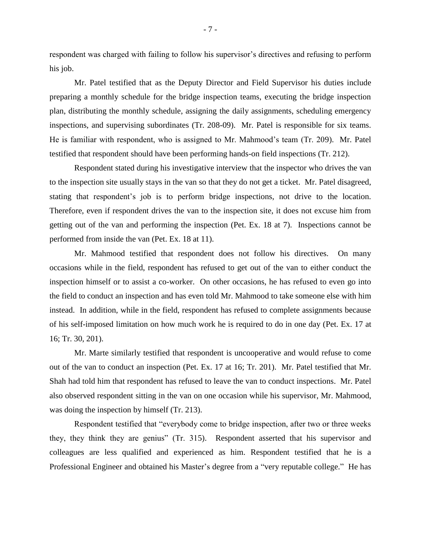respondent was charged with failing to follow his supervisor's directives and refusing to perform his job.

Mr. Patel testified that as the Deputy Director and Field Supervisor his duties include preparing a monthly schedule for the bridge inspection teams, executing the bridge inspection plan, distributing the monthly schedule, assigning the daily assignments, scheduling emergency inspections, and supervising subordinates (Tr. 208-09). Mr. Patel is responsible for six teams. He is familiar with respondent, who is assigned to Mr. Mahmood's team (Tr. 209). Mr. Patel testified that respondent should have been performing hands-on field inspections (Tr. 212).

Respondent stated during his investigative interview that the inspector who drives the van to the inspection site usually stays in the van so that they do not get a ticket. Mr. Patel disagreed, stating that respondent's job is to perform bridge inspections, not drive to the location. Therefore, even if respondent drives the van to the inspection site, it does not excuse him from getting out of the van and performing the inspection (Pet. Ex. 18 at 7). Inspections cannot be performed from inside the van (Pet. Ex. 18 at 11).

Mr. Mahmood testified that respondent does not follow his directives. On many occasions while in the field, respondent has refused to get out of the van to either conduct the inspection himself or to assist a co-worker. On other occasions, he has refused to even go into the field to conduct an inspection and has even told Mr. Mahmood to take someone else with him instead. In addition, while in the field, respondent has refused to complete assignments because of his self-imposed limitation on how much work he is required to do in one day (Pet. Ex. 17 at 16; Tr. 30, 201).

Mr. Marte similarly testified that respondent is uncooperative and would refuse to come out of the van to conduct an inspection (Pet. Ex. 17 at 16; Tr. 201). Mr. Patel testified that Mr. Shah had told him that respondent has refused to leave the van to conduct inspections. Mr. Patel also observed respondent sitting in the van on one occasion while his supervisor, Mr. Mahmood, was doing the inspection by himself (Tr. 213).

Respondent testified that "everybody come to bridge inspection, after two or three weeks they, they think they are genius" (Tr. 315). Respondent asserted that his supervisor and colleagues are less qualified and experienced as him. Respondent testified that he is a Professional Engineer and obtained his Master's degree from a "very reputable college." He has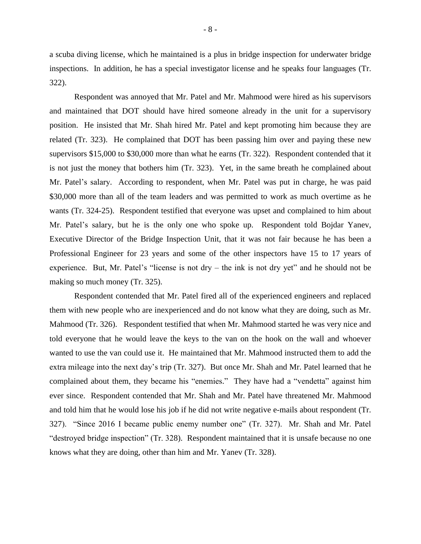a scuba diving license, which he maintained is a plus in bridge inspection for underwater bridge inspections. In addition, he has a special investigator license and he speaks four languages (Tr. 322).

Respondent was annoyed that Mr. Patel and Mr. Mahmood were hired as his supervisors and maintained that DOT should have hired someone already in the unit for a supervisory position. He insisted that Mr. Shah hired Mr. Patel and kept promoting him because they are related (Tr. 323). He complained that DOT has been passing him over and paying these new supervisors \$15,000 to \$30,000 more than what he earns (Tr. 322). Respondent contended that it is not just the money that bothers him (Tr. 323). Yet, in the same breath he complained about Mr. Patel's salary. According to respondent, when Mr. Patel was put in charge, he was paid \$30,000 more than all of the team leaders and was permitted to work as much overtime as he wants (Tr. 324-25). Respondent testified that everyone was upset and complained to him about Mr. Patel's salary, but he is the only one who spoke up. Respondent told Bojdar Yanev, Executive Director of the Bridge Inspection Unit, that it was not fair because he has been a Professional Engineer for 23 years and some of the other inspectors have 15 to 17 years of experience. But, Mr. Patel's "license is not dry – the ink is not dry yet" and he should not be making so much money (Tr. 325).

Respondent contended that Mr. Patel fired all of the experienced engineers and replaced them with new people who are inexperienced and do not know what they are doing, such as Mr. Mahmood (Tr. 326). Respondent testified that when Mr. Mahmood started he was very nice and told everyone that he would leave the keys to the van on the hook on the wall and whoever wanted to use the van could use it. He maintained that Mr. Mahmood instructed them to add the extra mileage into the next day's trip (Tr. 327). But once Mr. Shah and Mr. Patel learned that he complained about them, they became his "enemies." They have had a "vendetta" against him ever since. Respondent contended that Mr. Shah and Mr. Patel have threatened Mr. Mahmood and told him that he would lose his job if he did not write negative e-mails about respondent (Tr. 327). "Since 2016 I became public enemy number one" (Tr. 327). Mr. Shah and Mr. Patel "destroyed bridge inspection" (Tr. 328). Respondent maintained that it is unsafe because no one knows what they are doing, other than him and Mr. Yanev (Tr. 328).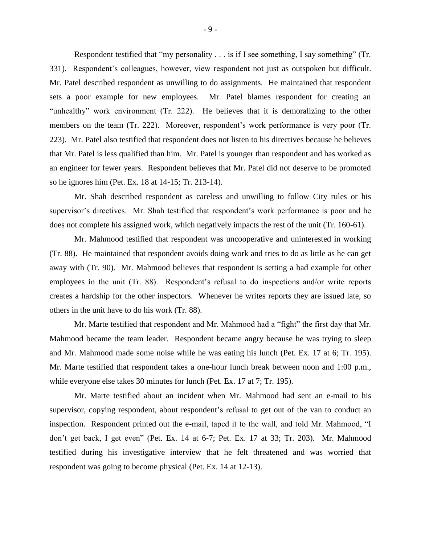Respondent testified that "my personality . . . is if I see something, I say something" (Tr. 331). Respondent's colleagues, however, view respondent not just as outspoken but difficult. Mr. Patel described respondent as unwilling to do assignments. He maintained that respondent sets a poor example for new employees. Mr. Patel blames respondent for creating an "unhealthy" work environment (Tr. 222). He believes that it is demoralizing to the other members on the team (Tr. 222). Moreover, respondent's work performance is very poor (Tr. 223). Mr. Patel also testified that respondent does not listen to his directives because he believes that Mr. Patel is less qualified than him. Mr. Patel is younger than respondent and has worked as an engineer for fewer years. Respondent believes that Mr. Patel did not deserve to be promoted so he ignores him (Pet. Ex. 18 at 14-15; Tr. 213-14).

Mr. Shah described respondent as careless and unwilling to follow City rules or his supervisor's directives. Mr. Shah testified that respondent's work performance is poor and he does not complete his assigned work, which negatively impacts the rest of the unit (Tr. 160-61).

Mr. Mahmood testified that respondent was uncooperative and uninterested in working (Tr. 88). He maintained that respondent avoids doing work and tries to do as little as he can get away with (Tr. 90). Mr. Mahmood believes that respondent is setting a bad example for other employees in the unit (Tr. 88). Respondent's refusal to do inspections and/or write reports creates a hardship for the other inspectors. Whenever he writes reports they are issued late, so others in the unit have to do his work (Tr. 88).

Mr. Marte testified that respondent and Mr. Mahmood had a "fight" the first day that Mr. Mahmood became the team leader. Respondent became angry because he was trying to sleep and Mr. Mahmood made some noise while he was eating his lunch (Pet. Ex. 17 at 6; Tr. 195). Mr. Marte testified that respondent takes a one-hour lunch break between noon and 1:00 p.m., while everyone else takes 30 minutes for lunch (Pet. Ex. 17 at 7; Tr. 195).

Mr. Marte testified about an incident when Mr. Mahmood had sent an e-mail to his supervisor, copying respondent, about respondent's refusal to get out of the van to conduct an inspection. Respondent printed out the e-mail, taped it to the wall, and told Mr. Mahmood, "I don't get back, I get even" (Pet. Ex. 14 at 6-7; Pet. Ex. 17 at 33; Tr. 203). Mr. Mahmood testified during his investigative interview that he felt threatened and was worried that respondent was going to become physical (Pet. Ex. 14 at 12-13).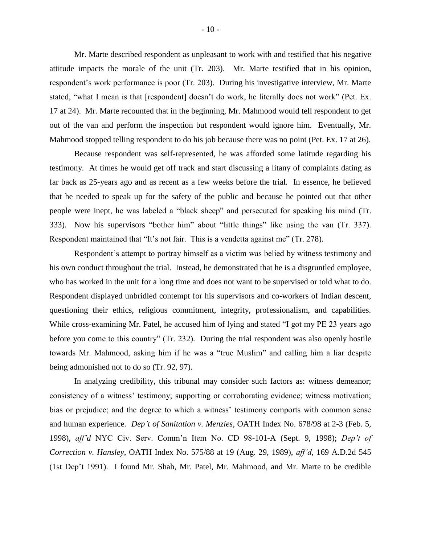Mr. Marte described respondent as unpleasant to work with and testified that his negative attitude impacts the morale of the unit (Tr. 203). Mr. Marte testified that in his opinion, respondent's work performance is poor (Tr. 203). During his investigative interview, Mr. Marte stated, "what I mean is that [respondent] doesn't do work, he literally does not work" (Pet. Ex. 17 at 24). Mr. Marte recounted that in the beginning, Mr. Mahmood would tell respondent to get out of the van and perform the inspection but respondent would ignore him. Eventually, Mr. Mahmood stopped telling respondent to do his job because there was no point (Pet. Ex. 17 at 26).

Because respondent was self-represented, he was afforded some latitude regarding his testimony. At times he would get off track and start discussing a litany of complaints dating as far back as 25-years ago and as recent as a few weeks before the trial. In essence, he believed that he needed to speak up for the safety of the public and because he pointed out that other people were inept, he was labeled a "black sheep" and persecuted for speaking his mind (Tr. 333). Now his supervisors "bother him" about "little things" like using the van (Tr. 337). Respondent maintained that "It's not fair. This is a vendetta against me" (Tr. 278).

Respondent's attempt to portray himself as a victim was belied by witness testimony and his own conduct throughout the trial. Instead, he demonstrated that he is a disgruntled employee, who has worked in the unit for a long time and does not want to be supervised or told what to do. Respondent displayed unbridled contempt for his supervisors and co-workers of Indian descent, questioning their ethics, religious commitment, integrity, professionalism, and capabilities. While cross-examining Mr. Patel, he accused him of lying and stated "I got my PE 23 years ago before you come to this country" (Tr. 232). During the trial respondent was also openly hostile towards Mr. Mahmood, asking him if he was a "true Muslim" and calling him a liar despite being admonished not to do so (Tr. 92, 97).

In analyzing credibility, this tribunal may consider such factors as: witness demeanor; consistency of a witness' testimony; supporting or corroborating evidence; witness motivation; bias or prejudice; and the degree to which a witness' testimony comports with common sense and human experience. *Dep't of Sanitation v. Menzies*, OATH Index No. 678/98 at 2-3 (Feb. 5, 1998), *aff'd* NYC Civ. Serv. Comm'n Item No. CD 98-101-A (Sept. 9, 1998); *Dep't of Correction v. Hansley*, OATH Index No. 575/88 at 19 (Aug. 29, 1989), *aff'd*, 169 A.D.2d 545 (1st Dep't 1991). I found Mr. Shah, Mr. Patel, Mr. Mahmood, and Mr. Marte to be credible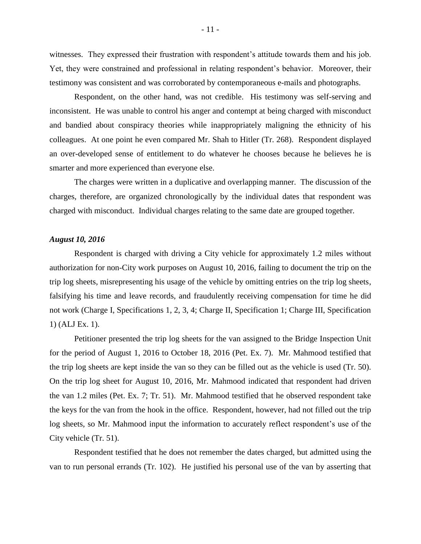witnesses. They expressed their frustration with respondent's attitude towards them and his job. Yet, they were constrained and professional in relating respondent's behavior. Moreover, their testimony was consistent and was corroborated by contemporaneous e-mails and photographs.

Respondent, on the other hand, was not credible. His testimony was self-serving and inconsistent. He was unable to control his anger and contempt at being charged with misconduct and bandied about conspiracy theories while inappropriately maligning the ethnicity of his colleagues. At one point he even compared Mr. Shah to Hitler (Tr. 268). Respondent displayed an over-developed sense of entitlement to do whatever he chooses because he believes he is smarter and more experienced than everyone else.

The charges were written in a duplicative and overlapping manner. The discussion of the charges, therefore, are organized chronologically by the individual dates that respondent was charged with misconduct. Individual charges relating to the same date are grouped together.

#### *August 10, 2016*

Respondent is charged with driving a City vehicle for approximately 1.2 miles without authorization for non-City work purposes on August 10, 2016, failing to document the trip on the trip log sheets, misrepresenting his usage of the vehicle by omitting entries on the trip log sheets, falsifying his time and leave records, and fraudulently receiving compensation for time he did not work (Charge I, Specifications 1, 2, 3, 4; Charge II, Specification 1; Charge III, Specification 1) (ALJ Ex. 1).

Petitioner presented the trip log sheets for the van assigned to the Bridge Inspection Unit for the period of August 1, 2016 to October 18, 2016 (Pet. Ex. 7). Mr. Mahmood testified that the trip log sheets are kept inside the van so they can be filled out as the vehicle is used (Tr. 50). On the trip log sheet for August 10, 2016, Mr. Mahmood indicated that respondent had driven the van 1.2 miles (Pet. Ex. 7; Tr. 51). Mr. Mahmood testified that he observed respondent take the keys for the van from the hook in the office. Respondent, however, had not filled out the trip log sheets, so Mr. Mahmood input the information to accurately reflect respondent's use of the City vehicle (Tr. 51).

Respondent testified that he does not remember the dates charged, but admitted using the van to run personal errands (Tr. 102). He justified his personal use of the van by asserting that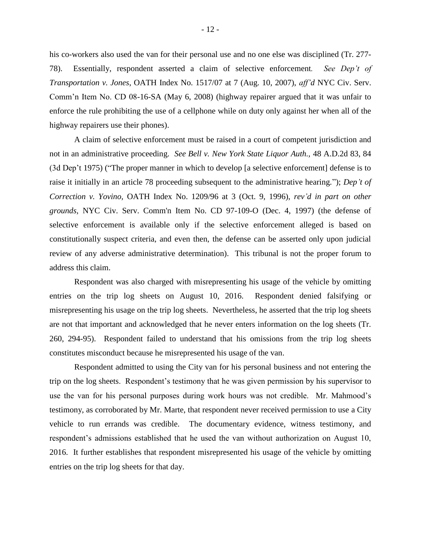his co-workers also used the van for their personal use and no one else was disciplined (Tr. 277- 78). Essentially, respondent asserted a claim of selective enforcement*. See Dep't of Transportation v. Jones*, OATH Index No. 1517/07 at 7 (Aug. 10, 2007), *aff'd* NYC Civ. Serv. Comm'n Item No. CD 08-16-SA (May 6, 2008) (highway repairer argued that it was unfair to enforce the rule prohibiting the use of a cellphone while on duty only against her when all of the highway repairers use their phones).

A claim of selective enforcement must be raised in a court of competent jurisdiction and not in an administrative proceeding. *See Bell v. New York State Liquor Auth.,* 48 A.D.2d 83, 84 (3d Dep't 1975) ("The proper manner in which to develop [a selective enforcement] defense is to raise it initially in an article 78 proceeding subsequent to the administrative hearing."); *Dep't of Correction v. Yovino,* OATH Index No. 1209/96 at 3 (Oct. 9, 1996), *rev'd in part on other grounds,* NYC Civ. Serv. Comm'n Item No. CD 97-109-O (Dec. 4, 1997) (the defense of selective enforcement is available only if the selective enforcement alleged is based on constitutionally suspect criteria, and even then, the defense can be asserted only upon judicial review of any adverse administrative determination). This tribunal is not the proper forum to address this claim.

Respondent was also charged with misrepresenting his usage of the vehicle by omitting entries on the trip log sheets on August 10, 2016. Respondent denied falsifying or misrepresenting his usage on the trip log sheets. Nevertheless, he asserted that the trip log sheets are not that important and acknowledged that he never enters information on the log sheets (Tr. 260, 294-95). Respondent failed to understand that his omissions from the trip log sheets constitutes misconduct because he misrepresented his usage of the van.

Respondent admitted to using the City van for his personal business and not entering the trip on the log sheets. Respondent's testimony that he was given permission by his supervisor to use the van for his personal purposes during work hours was not credible. Mr. Mahmood's testimony, as corroborated by Mr. Marte, that respondent never received permission to use a City vehicle to run errands was credible. The documentary evidence, witness testimony, and respondent's admissions established that he used the van without authorization on August 10, 2016. It further establishes that respondent misrepresented his usage of the vehicle by omitting entries on the trip log sheets for that day.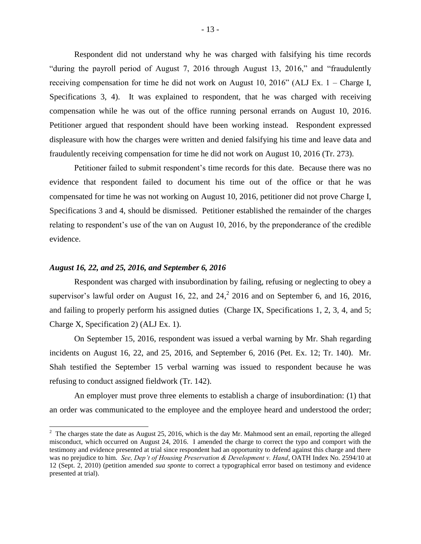Respondent did not understand why he was charged with falsifying his time records "during the payroll period of August 7, 2016 through August 13, 2016," and "fraudulently receiving compensation for time he did not work on August 10, 2016" (ALJ Ex. 1 – Charge I, Specifications 3, 4). It was explained to respondent, that he was charged with receiving compensation while he was out of the office running personal errands on August 10, 2016. Petitioner argued that respondent should have been working instead. Respondent expressed displeasure with how the charges were written and denied falsifying his time and leave data and fraudulently receiving compensation for time he did not work on August 10, 2016 (Tr. 273).

Petitioner failed to submit respondent's time records for this date. Because there was no evidence that respondent failed to document his time out of the office or that he was compensated for time he was not working on August 10, 2016, petitioner did not prove Charge I, Specifications 3 and 4, should be dismissed. Petitioner established the remainder of the charges relating to respondent's use of the van on August 10, 2016, by the preponderance of the credible evidence.

#### *August 16, 22, and 25, 2016, and September 6, 2016*

 $\overline{a}$ 

Respondent was charged with insubordination by failing, refusing or neglecting to obey a supervisor's lawful order on August 16, 22, and  $24<sup>2</sup>$ , 2016 and on September 6, and 16, 2016, and failing to properly perform his assigned duties (Charge IX, Specifications 1, 2, 3, 4, and 5; Charge X, Specification 2) (ALJ Ex. 1).

On September 15, 2016, respondent was issued a verbal warning by Mr. Shah regarding incidents on August 16, 22, and 25, 2016, and September 6, 2016 (Pet. Ex. 12; Tr. 140). Mr. Shah testified the September 15 verbal warning was issued to respondent because he was refusing to conduct assigned fieldwork (Tr. 142).

An employer must prove three elements to establish a charge of insubordination: (1) that an order was communicated to the employee and the employee heard and understood the order;

 $2 \text{ The charges state the date as August 25, 2016, which is the day Mr. Mahmood sent an email, reporting the alleged.}$ misconduct, which occurred on August 24, 2016. I amended the charge to correct the typo and comport with the testimony and evidence presented at trial since respondent had an opportunity to defend against this charge and there was no prejudice to him. *See, Dep't of Housing Preservation & Development v. Hand*, OATH Index No. 2594/10 at 12 (Sept. 2, 2010) (petition amended *sua sponte* to correct a typographical error based on testimony and evidence presented at trial).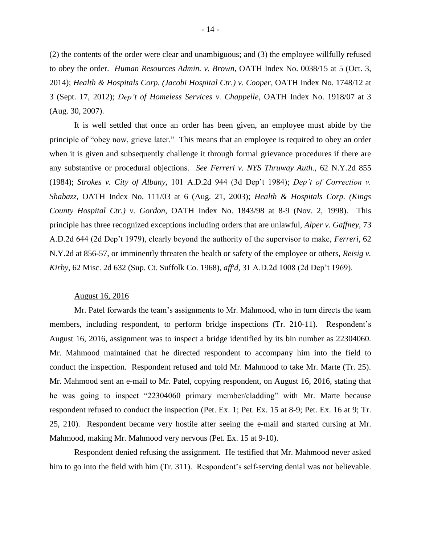(2) the contents of the order were clear and unambiguous; and (3) the employee willfully refused to obey the order. *Human Resources Admin. v. Brown,* OATH Index No. 0038/15 at 5 (Oct. 3, 2014); *Health & Hospitals Corp. (Jacobi Hospital Ctr.) v. Cooper*, OATH Index No. 1748/12 at 3 (Sept. 17, 2012); *Dep't of Homeless Services v. Chappelle*, OATH Index No. 1918/07 at 3 (Aug. 30, 2007).

It is well settled that once an order has been given, an employee must abide by the principle of "obey now, grieve later." This means that an employee is required to obey an order when it is given and subsequently challenge it through formal grievance procedures if there are any substantive or procedural objections. *See Ferreri v. NYS Thruway Auth.,* 62 N.Y.2d 855 (1984); *Strokes v. City of Albany,* 101 A.D.2d 944 (3d Dep't 1984); *Dep't of Correction v. Shabazz,* OATH Index No. 111/03 at 6 (Aug. 21, 2003); *Health & Hospitals Corp. (Kings County Hospital Ctr.) v. Gordon,* OATH Index No. 1843/98 at 8-9 (Nov. 2, 1998). This principle has three recognized exceptions including orders that are unlawful, *Alper v. Gaffney,* 73 A.D.2d 644 (2d Dep't 1979), clearly beyond the authority of the supervisor to make, *Ferreri,* 62 N.Y.2d at 856-57, or imminently threaten the health or safety of the employee or others, *Reisig v. Kirby,* 62 Misc. 2d 632 (Sup. Ct. Suffolk Co. 1968), *aff'd,* 31 A.D.2d 1008 (2d Dep't 1969).

#### August 16, 2016

Mr. Patel forwards the team's assignments to Mr. Mahmood, who in turn directs the team members, including respondent, to perform bridge inspections (Tr. 210-11). Respondent's August 16, 2016, assignment was to inspect a bridge identified by its bin number as 22304060. Mr. Mahmood maintained that he directed respondent to accompany him into the field to conduct the inspection. Respondent refused and told Mr. Mahmood to take Mr. Marte (Tr. 25). Mr. Mahmood sent an e-mail to Mr. Patel, copying respondent, on August 16, 2016, stating that he was going to inspect "22304060 primary member/cladding" with Mr. Marte because respondent refused to conduct the inspection (Pet. Ex. 1; Pet. Ex. 15 at 8-9; Pet. Ex. 16 at 9; Tr. 25, 210). Respondent became very hostile after seeing the e-mail and started cursing at Mr. Mahmood, making Mr. Mahmood very nervous (Pet. Ex. 15 at 9-10).

Respondent denied refusing the assignment. He testified that Mr. Mahmood never asked him to go into the field with him (Tr. 311). Respondent's self-serving denial was not believable.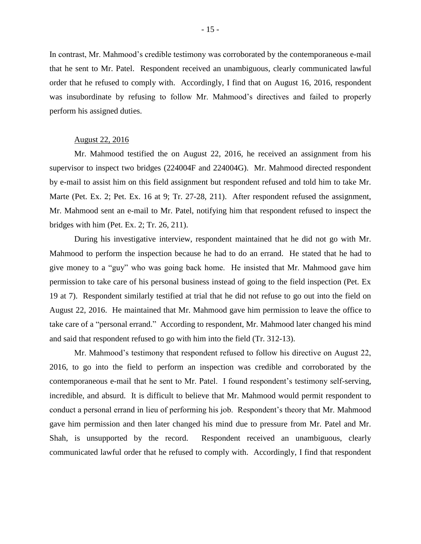In contrast, Mr. Mahmood's credible testimony was corroborated by the contemporaneous e-mail that he sent to Mr. Patel. Respondent received an unambiguous, clearly communicated lawful order that he refused to comply with. Accordingly, I find that on August 16, 2016, respondent was insubordinate by refusing to follow Mr. Mahmood's directives and failed to properly perform his assigned duties.

#### August 22, 2016

Mr. Mahmood testified the on August 22, 2016, he received an assignment from his supervisor to inspect two bridges (224004F and 224004G). Mr. Mahmood directed respondent by e-mail to assist him on this field assignment but respondent refused and told him to take Mr. Marte (Pet. Ex. 2; Pet. Ex. 16 at 9; Tr. 27-28, 211). After respondent refused the assignment, Mr. Mahmood sent an e-mail to Mr. Patel, notifying him that respondent refused to inspect the bridges with him (Pet. Ex. 2; Tr. 26, 211).

During his investigative interview, respondent maintained that he did not go with Mr. Mahmood to perform the inspection because he had to do an errand. He stated that he had to give money to a "guy" who was going back home. He insisted that Mr. Mahmood gave him permission to take care of his personal business instead of going to the field inspection (Pet. Ex 19 at 7). Respondent similarly testified at trial that he did not refuse to go out into the field on August 22, 2016. He maintained that Mr. Mahmood gave him permission to leave the office to take care of a "personal errand." According to respondent, Mr. Mahmood later changed his mind and said that respondent refused to go with him into the field (Tr. 312-13).

Mr. Mahmood's testimony that respondent refused to follow his directive on August 22, 2016, to go into the field to perform an inspection was credible and corroborated by the contemporaneous e-mail that he sent to Mr. Patel. I found respondent's testimony self-serving, incredible, and absurd. It is difficult to believe that Mr. Mahmood would permit respondent to conduct a personal errand in lieu of performing his job. Respondent's theory that Mr. Mahmood gave him permission and then later changed his mind due to pressure from Mr. Patel and Mr. Shah, is unsupported by the record. Respondent received an unambiguous, clearly communicated lawful order that he refused to comply with. Accordingly, I find that respondent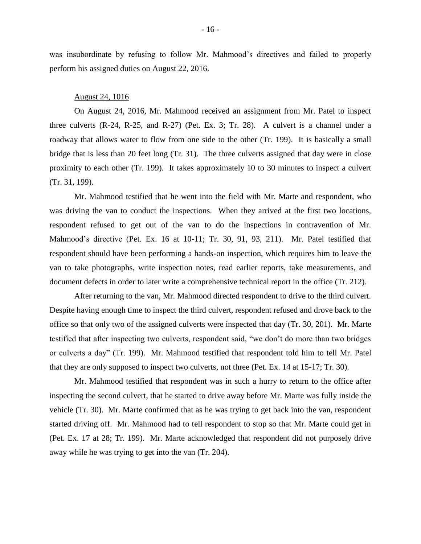was insubordinate by refusing to follow Mr. Mahmood's directives and failed to properly perform his assigned duties on August 22, 2016.

#### August 24, 1016

On August 24, 2016, Mr. Mahmood received an assignment from Mr. Patel to inspect three culverts (R-24, R-25, and R-27) (Pet. Ex. 3; Tr. 28). A culvert is a channel under a roadway that allows water to flow from one side to the other (Tr. 199). It is basically a small bridge that is less than 20 feet long (Tr. 31). The three culverts assigned that day were in close proximity to each other (Tr. 199). It takes approximately 10 to 30 minutes to inspect a culvert (Tr. 31, 199).

Mr. Mahmood testified that he went into the field with Mr. Marte and respondent, who was driving the van to conduct the inspections. When they arrived at the first two locations, respondent refused to get out of the van to do the inspections in contravention of Mr. Mahmood's directive (Pet. Ex. 16 at 10-11; Tr. 30, 91, 93, 211). Mr. Patel testified that respondent should have been performing a hands-on inspection, which requires him to leave the van to take photographs, write inspection notes, read earlier reports, take measurements, and document defects in order to later write a comprehensive technical report in the office (Tr. 212).

After returning to the van, Mr. Mahmood directed respondent to drive to the third culvert. Despite having enough time to inspect the third culvert, respondent refused and drove back to the office so that only two of the assigned culverts were inspected that day (Tr. 30, 201). Mr. Marte testified that after inspecting two culverts, respondent said, "we don't do more than two bridges or culverts a day" (Tr. 199). Mr. Mahmood testified that respondent told him to tell Mr. Patel that they are only supposed to inspect two culverts, not three (Pet. Ex. 14 at 15-17; Tr. 30).

Mr. Mahmood testified that respondent was in such a hurry to return to the office after inspecting the second culvert, that he started to drive away before Mr. Marte was fully inside the vehicle (Tr. 30). Mr. Marte confirmed that as he was trying to get back into the van, respondent started driving off. Mr. Mahmood had to tell respondent to stop so that Mr. Marte could get in (Pet. Ex. 17 at 28; Tr. 199). Mr. Marte acknowledged that respondent did not purposely drive away while he was trying to get into the van (Tr. 204).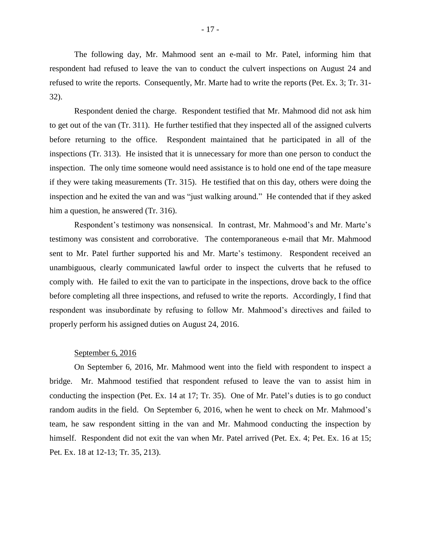The following day, Mr. Mahmood sent an e-mail to Mr. Patel, informing him that respondent had refused to leave the van to conduct the culvert inspections on August 24 and refused to write the reports. Consequently, Mr. Marte had to write the reports (Pet. Ex. 3; Tr. 31- 32).

Respondent denied the charge. Respondent testified that Mr. Mahmood did not ask him to get out of the van (Tr. 311). He further testified that they inspected all of the assigned culverts before returning to the office. Respondent maintained that he participated in all of the inspections (Tr. 313). He insisted that it is unnecessary for more than one person to conduct the inspection. The only time someone would need assistance is to hold one end of the tape measure if they were taking measurements (Tr. 315). He testified that on this day, others were doing the inspection and he exited the van and was "just walking around." He contended that if they asked him a question, he answered (Tr. 316).

Respondent's testimony was nonsensical. In contrast, Mr. Mahmood's and Mr. Marte's testimony was consistent and corroborative. The contemporaneous e-mail that Mr. Mahmood sent to Mr. Patel further supported his and Mr. Marte's testimony. Respondent received an unambiguous, clearly communicated lawful order to inspect the culverts that he refused to comply with. He failed to exit the van to participate in the inspections, drove back to the office before completing all three inspections, and refused to write the reports. Accordingly, I find that respondent was insubordinate by refusing to follow Mr. Mahmood's directives and failed to properly perform his assigned duties on August 24, 2016.

#### September 6, 2016

On September 6, 2016, Mr. Mahmood went into the field with respondent to inspect a bridge. Mr. Mahmood testified that respondent refused to leave the van to assist him in conducting the inspection (Pet. Ex. 14 at 17; Tr. 35). One of Mr. Patel's duties is to go conduct random audits in the field. On September 6, 2016, when he went to check on Mr. Mahmood's team, he saw respondent sitting in the van and Mr. Mahmood conducting the inspection by himself. Respondent did not exit the van when Mr. Patel arrived (Pet. Ex. 4; Pet. Ex. 16 at 15; Pet. Ex. 18 at 12-13; Tr. 35, 213).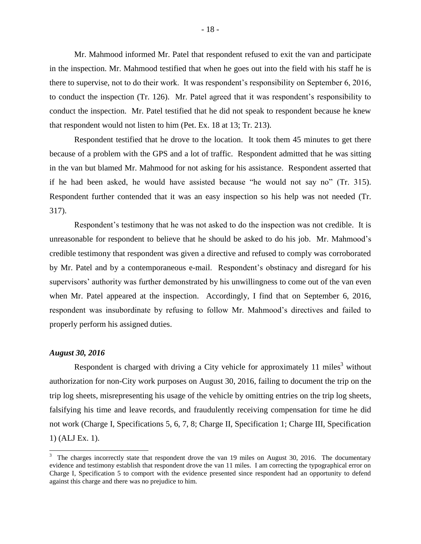Mr. Mahmood informed Mr. Patel that respondent refused to exit the van and participate in the inspection. Mr. Mahmood testified that when he goes out into the field with his staff he is there to supervise, not to do their work. It was respondent's responsibility on September 6, 2016, to conduct the inspection (Tr. 126). Mr. Patel agreed that it was respondent's responsibility to conduct the inspection. Mr. Patel testified that he did not speak to respondent because he knew that respondent would not listen to him (Pet. Ex. 18 at 13; Tr. 213).

Respondent testified that he drove to the location. It took them 45 minutes to get there because of a problem with the GPS and a lot of traffic. Respondent admitted that he was sitting in the van but blamed Mr. Mahmood for not asking for his assistance. Respondent asserted that if he had been asked, he would have assisted because "he would not say no" (Tr. 315). Respondent further contended that it was an easy inspection so his help was not needed (Tr. 317).

Respondent's testimony that he was not asked to do the inspection was not credible. It is unreasonable for respondent to believe that he should be asked to do his job. Mr. Mahmood's credible testimony that respondent was given a directive and refused to comply was corroborated by Mr. Patel and by a contemporaneous e-mail. Respondent's obstinacy and disregard for his supervisors' authority was further demonstrated by his unwillingness to come out of the van even when Mr. Patel appeared at the inspection. Accordingly, I find that on September 6, 2016, respondent was insubordinate by refusing to follow Mr. Mahmood's directives and failed to properly perform his assigned duties.

## *August 30, 2016*

 $\overline{a}$ 

Respondent is charged with driving a City vehicle for approximately 11 miles<sup>3</sup> without authorization for non-City work purposes on August 30, 2016, failing to document the trip on the trip log sheets, misrepresenting his usage of the vehicle by omitting entries on the trip log sheets, falsifying his time and leave records, and fraudulently receiving compensation for time he did not work (Charge I, Specifications 5, 6, 7, 8; Charge II, Specification 1; Charge III, Specification 1) (ALJ Ex. 1).

 $3$  The charges incorrectly state that respondent drove the van 19 miles on August 30, 2016. The documentary evidence and testimony establish that respondent drove the van 11 miles. I am correcting the typographical error on Charge I, Specification 5 to comport with the evidence presented since respondent had an opportunity to defend against this charge and there was no prejudice to him.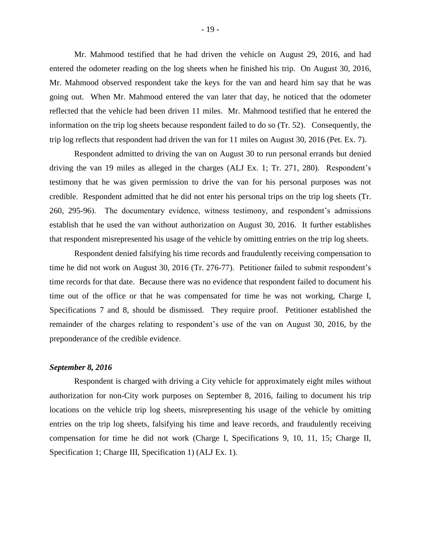Mr. Mahmood testified that he had driven the vehicle on August 29, 2016, and had entered the odometer reading on the log sheets when he finished his trip. On August 30, 2016, Mr. Mahmood observed respondent take the keys for the van and heard him say that he was going out. When Mr. Mahmood entered the van later that day, he noticed that the odometer reflected that the vehicle had been driven 11 miles. Mr. Mahmood testified that he entered the information on the trip log sheets because respondent failed to do so (Tr. 52). Consequently, the trip log reflects that respondent had driven the van for 11 miles on August 30, 2016 (Pet. Ex. 7).

Respondent admitted to driving the van on August 30 to run personal errands but denied driving the van 19 miles as alleged in the charges (ALJ Ex. 1; Tr. 271, 280). Respondent's testimony that he was given permission to drive the van for his personal purposes was not credible. Respondent admitted that he did not enter his personal trips on the trip log sheets (Tr. 260, 295-96). The documentary evidence, witness testimony, and respondent's admissions establish that he used the van without authorization on August 30, 2016. It further establishes that respondent misrepresented his usage of the vehicle by omitting entries on the trip log sheets.

Respondent denied falsifying his time records and fraudulently receiving compensation to time he did not work on August 30, 2016 (Tr. 276-77). Petitioner failed to submit respondent's time records for that date. Because there was no evidence that respondent failed to document his time out of the office or that he was compensated for time he was not working, Charge I, Specifications 7 and 8, should be dismissed. They require proof. Petitioner established the remainder of the charges relating to respondent's use of the van on August 30, 2016, by the preponderance of the credible evidence.

## *September 8, 2016*

Respondent is charged with driving a City vehicle for approximately eight miles without authorization for non-City work purposes on September 8, 2016, failing to document his trip locations on the vehicle trip log sheets, misrepresenting his usage of the vehicle by omitting entries on the trip log sheets, falsifying his time and leave records, and fraudulently receiving compensation for time he did not work (Charge I, Specifications 9, 10, 11, 15; Charge II, Specification 1; Charge III, Specification 1) (ALJ Ex. 1).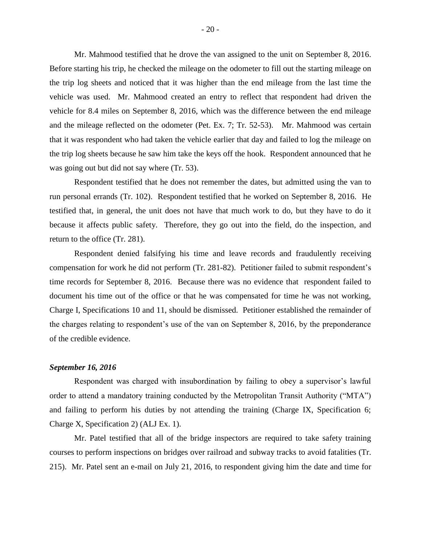Mr. Mahmood testified that he drove the van assigned to the unit on September 8, 2016. Before starting his trip, he checked the mileage on the odometer to fill out the starting mileage on the trip log sheets and noticed that it was higher than the end mileage from the last time the vehicle was used. Mr. Mahmood created an entry to reflect that respondent had driven the vehicle for 8.4 miles on September 8, 2016, which was the difference between the end mileage and the mileage reflected on the odometer (Pet. Ex. 7; Tr. 52-53). Mr. Mahmood was certain that it was respondent who had taken the vehicle earlier that day and failed to log the mileage on the trip log sheets because he saw him take the keys off the hook. Respondent announced that he was going out but did not say where (Tr. 53).

Respondent testified that he does not remember the dates, but admitted using the van to run personal errands (Tr. 102). Respondent testified that he worked on September 8, 2016. He testified that, in general, the unit does not have that much work to do, but they have to do it because it affects public safety. Therefore, they go out into the field, do the inspection, and return to the office (Tr. 281).

Respondent denied falsifying his time and leave records and fraudulently receiving compensation for work he did not perform (Tr. 281-82). Petitioner failed to submit respondent's time records for September 8, 2016. Because there was no evidence that respondent failed to document his time out of the office or that he was compensated for time he was not working, Charge I, Specifications 10 and 11, should be dismissed. Petitioner established the remainder of the charges relating to respondent's use of the van on September 8, 2016, by the preponderance of the credible evidence.

## *September 16, 2016*

Respondent was charged with insubordination by failing to obey a supervisor's lawful order to attend a mandatory training conducted by the Metropolitan Transit Authority ("MTA") and failing to perform his duties by not attending the training (Charge IX, Specification 6; Charge X, Specification 2) (ALJ Ex. 1).

Mr. Patel testified that all of the bridge inspectors are required to take safety training courses to perform inspections on bridges over railroad and subway tracks to avoid fatalities (Tr. 215). Mr. Patel sent an e-mail on July 21, 2016, to respondent giving him the date and time for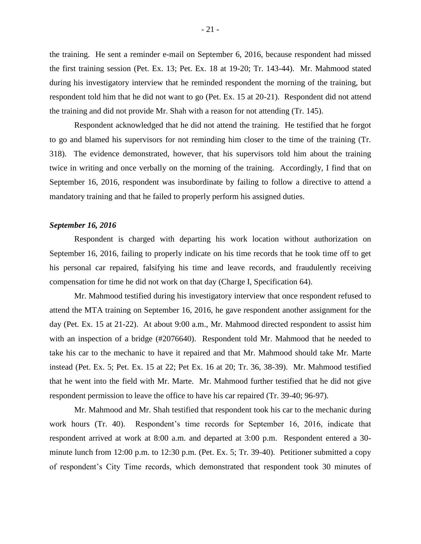the training. He sent a reminder e-mail on September 6, 2016, because respondent had missed the first training session (Pet. Ex. 13; Pet. Ex. 18 at 19-20; Tr. 143-44). Mr. Mahmood stated during his investigatory interview that he reminded respondent the morning of the training, but respondent told him that he did not want to go (Pet. Ex. 15 at 20-21). Respondent did not attend the training and did not provide Mr. Shah with a reason for not attending (Tr. 145).

Respondent acknowledged that he did not attend the training. He testified that he forgot to go and blamed his supervisors for not reminding him closer to the time of the training (Tr. 318). The evidence demonstrated, however, that his supervisors told him about the training twice in writing and once verbally on the morning of the training. Accordingly, I find that on September 16, 2016, respondent was insubordinate by failing to follow a directive to attend a mandatory training and that he failed to properly perform his assigned duties.

#### *September 16, 2016*

Respondent is charged with departing his work location without authorization on September 16, 2016, failing to properly indicate on his time records that he took time off to get his personal car repaired, falsifying his time and leave records, and fraudulently receiving compensation for time he did not work on that day (Charge I, Specification 64).

Mr. Mahmood testified during his investigatory interview that once respondent refused to attend the MTA training on September 16, 2016, he gave respondent another assignment for the day (Pet. Ex. 15 at 21-22). At about 9:00 a.m., Mr. Mahmood directed respondent to assist him with an inspection of a bridge (#2076640). Respondent told Mr. Mahmood that he needed to take his car to the mechanic to have it repaired and that Mr. Mahmood should take Mr. Marte instead (Pet. Ex. 5; Pet. Ex. 15 at 22; Pet Ex. 16 at 20; Tr. 36, 38-39). Mr. Mahmood testified that he went into the field with Mr. Marte. Mr. Mahmood further testified that he did not give respondent permission to leave the office to have his car repaired (Tr. 39-40; 96-97).

Mr. Mahmood and Mr. Shah testified that respondent took his car to the mechanic during work hours (Tr. 40). Respondent's time records for September 16, 2016, indicate that respondent arrived at work at 8:00 a.m. and departed at 3:00 p.m. Respondent entered a 30 minute lunch from 12:00 p.m. to 12:30 p.m. (Pet. Ex. 5; Tr. 39-40). Petitioner submitted a copy of respondent's City Time records, which demonstrated that respondent took 30 minutes of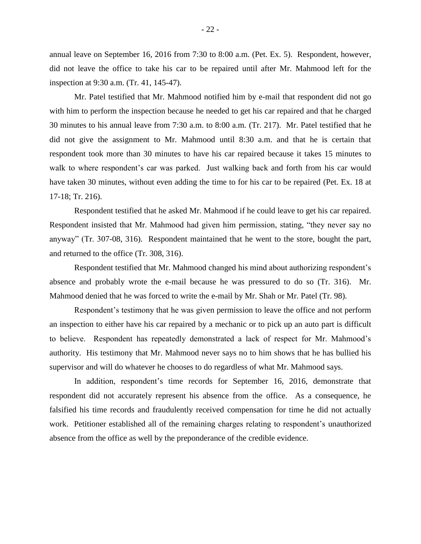annual leave on September 16, 2016 from 7:30 to 8:00 a.m. (Pet. Ex. 5). Respondent, however, did not leave the office to take his car to be repaired until after Mr. Mahmood left for the inspection at 9:30 a.m. (Tr. 41, 145-47).

Mr. Patel testified that Mr. Mahmood notified him by e-mail that respondent did not go with him to perform the inspection because he needed to get his car repaired and that he charged 30 minutes to his annual leave from 7:30 a.m. to 8:00 a.m. (Tr. 217). Mr. Patel testified that he did not give the assignment to Mr. Mahmood until 8:30 a.m. and that he is certain that respondent took more than 30 minutes to have his car repaired because it takes 15 minutes to walk to where respondent's car was parked. Just walking back and forth from his car would have taken 30 minutes, without even adding the time to for his car to be repaired (Pet. Ex. 18 at 17-18; Tr. 216).

Respondent testified that he asked Mr. Mahmood if he could leave to get his car repaired. Respondent insisted that Mr. Mahmood had given him permission, stating, "they never say no anyway" (Tr. 307-08, 316). Respondent maintained that he went to the store, bought the part, and returned to the office (Tr. 308, 316).

Respondent testified that Mr. Mahmood changed his mind about authorizing respondent's absence and probably wrote the e-mail because he was pressured to do so (Tr. 316). Mr. Mahmood denied that he was forced to write the e-mail by Mr. Shah or Mr. Patel (Tr. 98).

Respondent's testimony that he was given permission to leave the office and not perform an inspection to either have his car repaired by a mechanic or to pick up an auto part is difficult to believe. Respondent has repeatedly demonstrated a lack of respect for Mr. Mahmood's authority. His testimony that Mr. Mahmood never says no to him shows that he has bullied his supervisor and will do whatever he chooses to do regardless of what Mr. Mahmood says.

In addition, respondent's time records for September 16, 2016, demonstrate that respondent did not accurately represent his absence from the office. As a consequence, he falsified his time records and fraudulently received compensation for time he did not actually work. Petitioner established all of the remaining charges relating to respondent's unauthorized absence from the office as well by the preponderance of the credible evidence.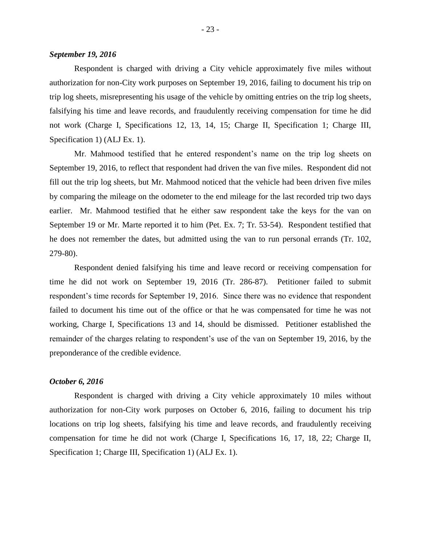## *September 19, 2016*

Respondent is charged with driving a City vehicle approximately five miles without authorization for non-City work purposes on September 19, 2016, failing to document his trip on trip log sheets, misrepresenting his usage of the vehicle by omitting entries on the trip log sheets, falsifying his time and leave records, and fraudulently receiving compensation for time he did not work (Charge I, Specifications 12, 13, 14, 15; Charge II, Specification 1; Charge III, Specification 1) (ALJ Ex. 1).

Mr. Mahmood testified that he entered respondent's name on the trip log sheets on September 19, 2016, to reflect that respondent had driven the van five miles. Respondent did not fill out the trip log sheets, but Mr. Mahmood noticed that the vehicle had been driven five miles by comparing the mileage on the odometer to the end mileage for the last recorded trip two days earlier. Mr. Mahmood testified that he either saw respondent take the keys for the van on September 19 or Mr. Marte reported it to him (Pet. Ex. 7; Tr. 53-54). Respondent testified that he does not remember the dates, but admitted using the van to run personal errands (Tr. 102, 279-80).

Respondent denied falsifying his time and leave record or receiving compensation for time he did not work on September 19, 2016 (Tr. 286-87). Petitioner failed to submit respondent's time records for September 19, 2016. Since there was no evidence that respondent failed to document his time out of the office or that he was compensated for time he was not working, Charge I, Specifications 13 and 14, should be dismissed. Petitioner established the remainder of the charges relating to respondent's use of the van on September 19, 2016, by the preponderance of the credible evidence.

## *October 6, 2016*

Respondent is charged with driving a City vehicle approximately 10 miles without authorization for non-City work purposes on October 6, 2016, failing to document his trip locations on trip log sheets, falsifying his time and leave records, and fraudulently receiving compensation for time he did not work (Charge I, Specifications 16, 17, 18, 22; Charge II, Specification 1; Charge III, Specification 1) (ALJ Ex. 1).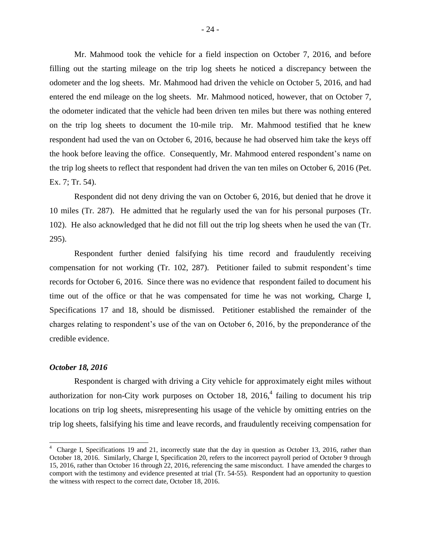Mr. Mahmood took the vehicle for a field inspection on October 7, 2016, and before filling out the starting mileage on the trip log sheets he noticed a discrepancy between the odometer and the log sheets. Mr. Mahmood had driven the vehicle on October 5, 2016, and had entered the end mileage on the log sheets. Mr. Mahmood noticed, however, that on October 7, the odometer indicated that the vehicle had been driven ten miles but there was nothing entered on the trip log sheets to document the 10-mile trip. Mr. Mahmood testified that he knew respondent had used the van on October 6, 2016, because he had observed him take the keys off the hook before leaving the office. Consequently, Mr. Mahmood entered respondent's name on the trip log sheets to reflect that respondent had driven the van ten miles on October 6, 2016 (Pet. Ex. 7; Tr. 54).

Respondent did not deny driving the van on October 6, 2016, but denied that he drove it 10 miles (Tr. 287). He admitted that he regularly used the van for his personal purposes (Tr. 102). He also acknowledged that he did not fill out the trip log sheets when he used the van (Tr. 295).

Respondent further denied falsifying his time record and fraudulently receiving compensation for not working (Tr. 102, 287). Petitioner failed to submit respondent's time records for October 6, 2016. Since there was no evidence that respondent failed to document his time out of the office or that he was compensated for time he was not working, Charge I, Specifications 17 and 18, should be dismissed. Petitioner established the remainder of the charges relating to respondent's use of the van on October 6, 2016, by the preponderance of the credible evidence.

#### *October 18, 2016*

 $\overline{a}$ 

Respondent is charged with driving a City vehicle for approximately eight miles without authorization for non-City work purposes on October 18,  $2016<sup>4</sup>$  failing to document his trip locations on trip log sheets, misrepresenting his usage of the vehicle by omitting entries on the trip log sheets, falsifying his time and leave records, and fraudulently receiving compensation for

<sup>&</sup>lt;sup>4</sup> Charge I, Specifications 19 and 21, incorrectly state that the day in question as October 13, 2016, rather than October 18, 2016. Similarly, Charge I, Specification 20, refers to the incorrect payroll period of October 9 through 15, 2016, rather than October 16 through 22, 2016, referencing the same misconduct. I have amended the charges to comport with the testimony and evidence presented at trial (Tr. 54-55). Respondent had an opportunity to question the witness with respect to the correct date, October 18, 2016.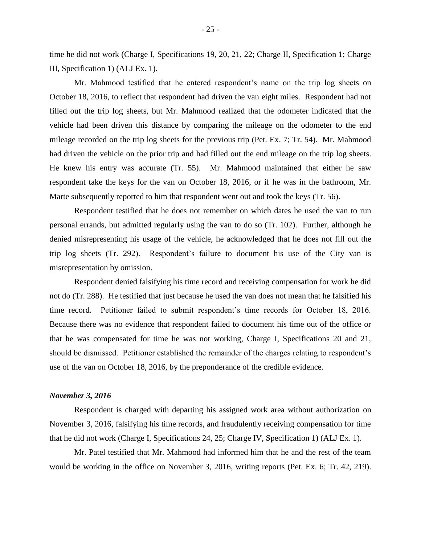time he did not work (Charge I, Specifications 19, 20, 21, 22; Charge II, Specification 1; Charge III, Specification 1) (ALJ Ex. 1).

Mr. Mahmood testified that he entered respondent's name on the trip log sheets on October 18, 2016, to reflect that respondent had driven the van eight miles. Respondent had not filled out the trip log sheets, but Mr. Mahmood realized that the odometer indicated that the vehicle had been driven this distance by comparing the mileage on the odometer to the end mileage recorded on the trip log sheets for the previous trip (Pet. Ex. 7; Tr. 54). Mr. Mahmood had driven the vehicle on the prior trip and had filled out the end mileage on the trip log sheets. He knew his entry was accurate (Tr. 55). Mr. Mahmood maintained that either he saw respondent take the keys for the van on October 18, 2016, or if he was in the bathroom, Mr. Marte subsequently reported to him that respondent went out and took the keys (Tr. 56).

Respondent testified that he does not remember on which dates he used the van to run personal errands, but admitted regularly using the van to do so (Tr. 102). Further, although he denied misrepresenting his usage of the vehicle, he acknowledged that he does not fill out the trip log sheets (Tr. 292). Respondent's failure to document his use of the City van is misrepresentation by omission.

Respondent denied falsifying his time record and receiving compensation for work he did not do (Tr. 288). He testified that just because he used the van does not mean that he falsified his time record. Petitioner failed to submit respondent's time records for October 18, 2016. Because there was no evidence that respondent failed to document his time out of the office or that he was compensated for time he was not working, Charge I, Specifications 20 and 21, should be dismissed. Petitioner established the remainder of the charges relating to respondent's use of the van on October 18, 2016, by the preponderance of the credible evidence.

#### *November 3, 2016*

Respondent is charged with departing his assigned work area without authorization on November 3, 2016, falsifying his time records, and fraudulently receiving compensation for time that he did not work (Charge I, Specifications 24, 25; Charge IV, Specification 1) (ALJ Ex. 1).

Mr. Patel testified that Mr. Mahmood had informed him that he and the rest of the team would be working in the office on November 3, 2016, writing reports (Pet. Ex. 6; Tr. 42, 219).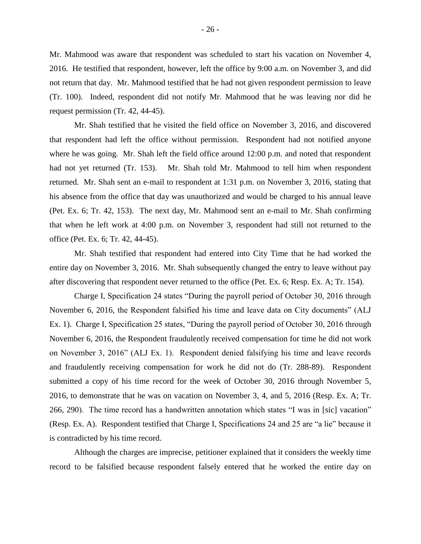Mr. Mahmood was aware that respondent was scheduled to start his vacation on November 4, 2016. He testified that respondent, however, left the office by 9:00 a.m. on November 3, and did not return that day. Mr. Mahmood testified that he had not given respondent permission to leave (Tr. 100). Indeed, respondent did not notify Mr. Mahmood that he was leaving nor did he request permission (Tr. 42, 44-45).

Mr. Shah testified that he visited the field office on November 3, 2016, and discovered that respondent had left the office without permission. Respondent had not notified anyone where he was going. Mr. Shah left the field office around 12:00 p.m. and noted that respondent had not yet returned (Tr. 153). Mr. Shah told Mr. Mahmood to tell him when respondent returned. Mr. Shah sent an e-mail to respondent at 1:31 p.m. on November 3, 2016, stating that his absence from the office that day was unauthorized and would be charged to his annual leave (Pet. Ex. 6; Tr. 42, 153). The next day, Mr. Mahmood sent an e-mail to Mr. Shah confirming that when he left work at 4:00 p.m. on November 3, respondent had still not returned to the office (Pet. Ex. 6; Tr. 42, 44-45).

Mr. Shah testified that respondent had entered into City Time that he had worked the entire day on November 3, 2016. Mr. Shah subsequently changed the entry to leave without pay after discovering that respondent never returned to the office (Pet. Ex. 6; Resp. Ex. A; Tr. 154).

Charge I, Specification 24 states "During the payroll period of October 30, 2016 through November 6, 2016, the Respondent falsified his time and leave data on City documents" (ALJ Ex. 1). Charge I, Specification 25 states, "During the payroll period of October 30, 2016 through November 6, 2016, the Respondent fraudulently received compensation for time he did not work on November 3, 2016" (ALJ Ex. 1). Respondent denied falsifying his time and leave records and fraudulently receiving compensation for work he did not do (Tr. 288-89). Respondent submitted a copy of his time record for the week of October 30, 2016 through November 5, 2016, to demonstrate that he was on vacation on November 3, 4, and 5, 2016 (Resp. Ex. A; Tr. 266, 290). The time record has a handwritten annotation which states "I was in [sic] vacation" (Resp. Ex. A). Respondent testified that Charge I, Specifications 24 and 25 are "a lie" because it is contradicted by his time record.

Although the charges are imprecise, petitioner explained that it considers the weekly time record to be falsified because respondent falsely entered that he worked the entire day on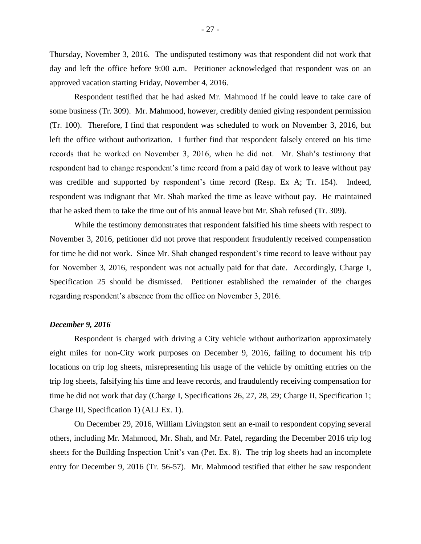Thursday, November 3, 2016. The undisputed testimony was that respondent did not work that day and left the office before 9:00 a.m. Petitioner acknowledged that respondent was on an approved vacation starting Friday, November 4, 2016.

Respondent testified that he had asked Mr. Mahmood if he could leave to take care of some business (Tr. 309). Mr. Mahmood, however, credibly denied giving respondent permission (Tr. 100). Therefore, I find that respondent was scheduled to work on November 3, 2016, but left the office without authorization. I further find that respondent falsely entered on his time records that he worked on November 3, 2016, when he did not. Mr. Shah's testimony that respondent had to change respondent's time record from a paid day of work to leave without pay was credible and supported by respondent's time record (Resp. Ex A; Tr. 154). Indeed, respondent was indignant that Mr. Shah marked the time as leave without pay. He maintained that he asked them to take the time out of his annual leave but Mr. Shah refused (Tr. 309).

While the testimony demonstrates that respondent falsified his time sheets with respect to November 3, 2016, petitioner did not prove that respondent fraudulently received compensation for time he did not work. Since Mr. Shah changed respondent's time record to leave without pay for November 3, 2016, respondent was not actually paid for that date. Accordingly, Charge I, Specification 25 should be dismissed. Petitioner established the remainder of the charges regarding respondent's absence from the office on November 3, 2016.

#### *December 9, 2016*

Respondent is charged with driving a City vehicle without authorization approximately eight miles for non-City work purposes on December 9, 2016, failing to document his trip locations on trip log sheets, misrepresenting his usage of the vehicle by omitting entries on the trip log sheets, falsifying his time and leave records, and fraudulently receiving compensation for time he did not work that day (Charge I, Specifications 26, 27, 28, 29; Charge II, Specification 1; Charge III, Specification 1) (ALJ Ex. 1).

On December 29, 2016, William Livingston sent an e-mail to respondent copying several others, including Mr. Mahmood, Mr. Shah, and Mr. Patel, regarding the December 2016 trip log sheets for the Building Inspection Unit's van (Pet. Ex. 8). The trip log sheets had an incomplete entry for December 9, 2016 (Tr. 56-57). Mr. Mahmood testified that either he saw respondent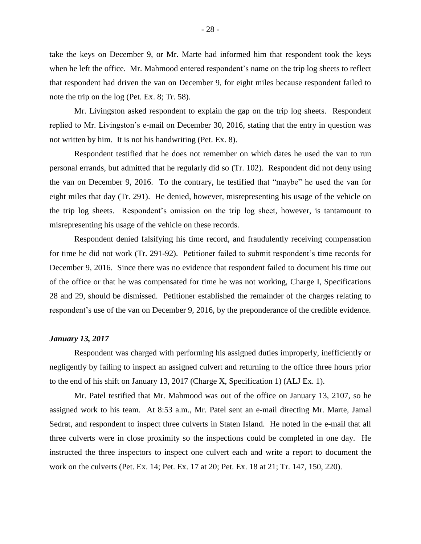take the keys on December 9, or Mr. Marte had informed him that respondent took the keys when he left the office. Mr. Mahmood entered respondent's name on the trip log sheets to reflect that respondent had driven the van on December 9, for eight miles because respondent failed to note the trip on the log (Pet. Ex. 8; Tr. 58).

Mr. Livingston asked respondent to explain the gap on the trip log sheets. Respondent replied to Mr. Livingston's e-mail on December 30, 2016, stating that the entry in question was not written by him. It is not his handwriting (Pet. Ex. 8).

Respondent testified that he does not remember on which dates he used the van to run personal errands, but admitted that he regularly did so (Tr. 102). Respondent did not deny using the van on December 9, 2016. To the contrary, he testified that "maybe" he used the van for eight miles that day (Tr. 291). He denied, however, misrepresenting his usage of the vehicle on the trip log sheets. Respondent's omission on the trip log sheet, however, is tantamount to misrepresenting his usage of the vehicle on these records.

Respondent denied falsifying his time record, and fraudulently receiving compensation for time he did not work (Tr. 291-92). Petitioner failed to submit respondent's time records for December 9, 2016. Since there was no evidence that respondent failed to document his time out of the office or that he was compensated for time he was not working, Charge I, Specifications 28 and 29, should be dismissed. Petitioner established the remainder of the charges relating to respondent's use of the van on December 9, 2016, by the preponderance of the credible evidence.

#### *January 13, 2017*

Respondent was charged with performing his assigned duties improperly, inefficiently or negligently by failing to inspect an assigned culvert and returning to the office three hours prior to the end of his shift on January 13, 2017 (Charge X, Specification 1) (ALJ Ex. 1).

Mr. Patel testified that Mr. Mahmood was out of the office on January 13, 2107, so he assigned work to his team. At 8:53 a.m., Mr. Patel sent an e-mail directing Mr. Marte, Jamal Sedrat, and respondent to inspect three culverts in Staten Island. He noted in the e-mail that all three culverts were in close proximity so the inspections could be completed in one day. He instructed the three inspectors to inspect one culvert each and write a report to document the work on the culverts (Pet. Ex. 14; Pet. Ex. 17 at 20; Pet. Ex. 18 at 21; Tr. 147, 150, 220).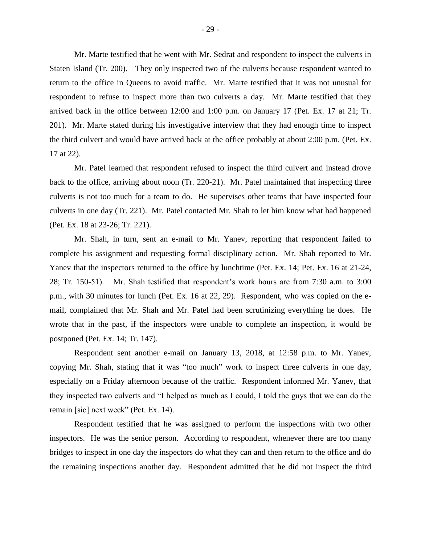Mr. Marte testified that he went with Mr. Sedrat and respondent to inspect the culverts in Staten Island (Tr. 200). They only inspected two of the culverts because respondent wanted to return to the office in Queens to avoid traffic. Mr. Marte testified that it was not unusual for respondent to refuse to inspect more than two culverts a day. Mr. Marte testified that they arrived back in the office between 12:00 and 1:00 p.m. on January 17 (Pet. Ex. 17 at 21; Tr. 201). Mr. Marte stated during his investigative interview that they had enough time to inspect the third culvert and would have arrived back at the office probably at about 2:00 p.m. (Pet. Ex. 17 at 22).

Mr. Patel learned that respondent refused to inspect the third culvert and instead drove back to the office, arriving about noon (Tr. 220-21). Mr. Patel maintained that inspecting three culverts is not too much for a team to do. He supervises other teams that have inspected four culverts in one day (Tr. 221). Mr. Patel contacted Mr. Shah to let him know what had happened (Pet. Ex. 18 at 23-26; Tr. 221).

Mr. Shah, in turn, sent an e-mail to Mr. Yanev, reporting that respondent failed to complete his assignment and requesting formal disciplinary action. Mr. Shah reported to Mr. Yanev that the inspectors returned to the office by lunchtime (Pet. Ex. 14; Pet. Ex. 16 at 21-24, 28; Tr. 150-51). Mr. Shah testified that respondent's work hours are from 7:30 a.m. to 3:00 p.m., with 30 minutes for lunch (Pet. Ex. 16 at 22, 29). Respondent, who was copied on the email, complained that Mr. Shah and Mr. Patel had been scrutinizing everything he does. He wrote that in the past, if the inspectors were unable to complete an inspection, it would be postponed (Pet. Ex. 14; Tr. 147).

Respondent sent another e-mail on January 13, 2018, at 12:58 p.m. to Mr. Yanev, copying Mr. Shah, stating that it was "too much" work to inspect three culverts in one day, especially on a Friday afternoon because of the traffic. Respondent informed Mr. Yanev, that they inspected two culverts and "I helped as much as I could, I told the guys that we can do the remain [sic] next week" (Pet. Ex. 14).

Respondent testified that he was assigned to perform the inspections with two other inspectors. He was the senior person. According to respondent, whenever there are too many bridges to inspect in one day the inspectors do what they can and then return to the office and do the remaining inspections another day. Respondent admitted that he did not inspect the third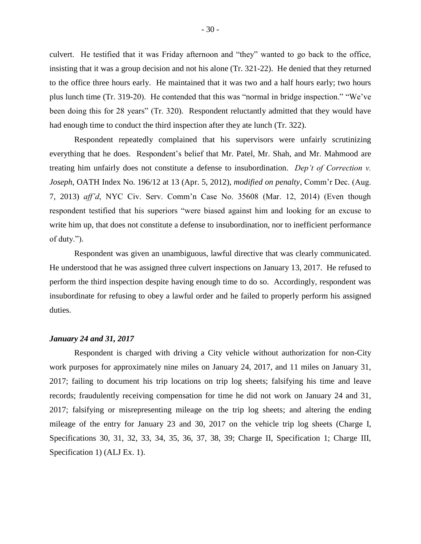culvert. He testified that it was Friday afternoon and "they" wanted to go back to the office, insisting that it was a group decision and not his alone (Tr. 321-22). He denied that they returned to the office three hours early. He maintained that it was two and a half hours early; two hours plus lunch time (Tr. 319-20). He contended that this was "normal in bridge inspection." "We've been doing this for 28 years" (Tr. 320). Respondent reluctantly admitted that they would have had enough time to conduct the third inspection after they ate lunch (Tr. 322).

Respondent repeatedly complained that his supervisors were unfairly scrutinizing everything that he does. Respondent's belief that Mr. Patel, Mr. Shah, and Mr. Mahmood are treating him unfairly does not constitute a defense to insubordination. *Dep't of Correction v. Joseph*, OATH Index No. 196/12 at 13 (Apr. 5, 2012), *modified on penalty*, Comm'r Dec. (Aug. 7, 2013) *aff'd*, NYC Civ. Serv. Comm'n Case No. 35608 (Mar. 12, 2014) (Even though respondent testified that his superiors "were biased against him and looking for an excuse to write him up, that does not constitute a defense to insubordination, nor to inefficient performance of duty.").

Respondent was given an unambiguous, lawful directive that was clearly communicated. He understood that he was assigned three culvert inspections on January 13, 2017. He refused to perform the third inspection despite having enough time to do so. Accordingly, respondent was insubordinate for refusing to obey a lawful order and he failed to properly perform his assigned duties.

#### *January 24 and 31, 2017*

Respondent is charged with driving a City vehicle without authorization for non-City work purposes for approximately nine miles on January 24, 2017, and 11 miles on January 31, 2017; failing to document his trip locations on trip log sheets; falsifying his time and leave records; fraudulently receiving compensation for time he did not work on January 24 and 31, 2017; falsifying or misrepresenting mileage on the trip log sheets; and altering the ending mileage of the entry for January 23 and 30, 2017 on the vehicle trip log sheets (Charge I, Specifications 30, 31, 32, 33, 34, 35, 36, 37, 38, 39; Charge II, Specification 1; Charge III, Specification 1) (ALJ Ex. 1).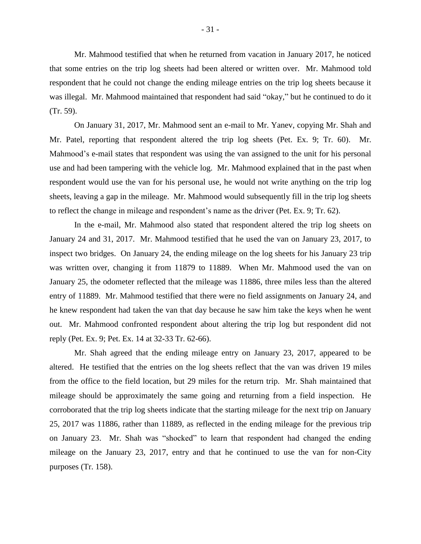Mr. Mahmood testified that when he returned from vacation in January 2017, he noticed that some entries on the trip log sheets had been altered or written over. Mr. Mahmood told respondent that he could not change the ending mileage entries on the trip log sheets because it was illegal. Mr. Mahmood maintained that respondent had said "okay," but he continued to do it (Tr. 59).

On January 31, 2017, Mr. Mahmood sent an e-mail to Mr. Yanev, copying Mr. Shah and Mr. Patel, reporting that respondent altered the trip log sheets (Pet. Ex. 9; Tr. 60). Mr. Mahmood's e-mail states that respondent was using the van assigned to the unit for his personal use and had been tampering with the vehicle log. Mr. Mahmood explained that in the past when respondent would use the van for his personal use, he would not write anything on the trip log sheets, leaving a gap in the mileage. Mr. Mahmood would subsequently fill in the trip log sheets to reflect the change in mileage and respondent's name as the driver (Pet. Ex. 9; Tr. 62).

In the e-mail, Mr. Mahmood also stated that respondent altered the trip log sheets on January 24 and 31, 2017. Mr. Mahmood testified that he used the van on January 23, 2017, to inspect two bridges. On January 24, the ending mileage on the log sheets for his January 23 trip was written over, changing it from 11879 to 11889. When Mr. Mahmood used the van on January 25, the odometer reflected that the mileage was 11886, three miles less than the altered entry of 11889. Mr. Mahmood testified that there were no field assignments on January 24, and he knew respondent had taken the van that day because he saw him take the keys when he went out. Mr. Mahmood confronted respondent about altering the trip log but respondent did not reply (Pet. Ex. 9; Pet. Ex. 14 at 32-33 Tr. 62-66).

Mr. Shah agreed that the ending mileage entry on January 23, 2017, appeared to be altered. He testified that the entries on the log sheets reflect that the van was driven 19 miles from the office to the field location, but 29 miles for the return trip. Mr. Shah maintained that mileage should be approximately the same going and returning from a field inspection. He corroborated that the trip log sheets indicate that the starting mileage for the next trip on January 25, 2017 was 11886, rather than 11889, as reflected in the ending mileage for the previous trip on January 23. Mr. Shah was "shocked" to learn that respondent had changed the ending mileage on the January 23, 2017, entry and that he continued to use the van for non-City purposes (Tr. 158).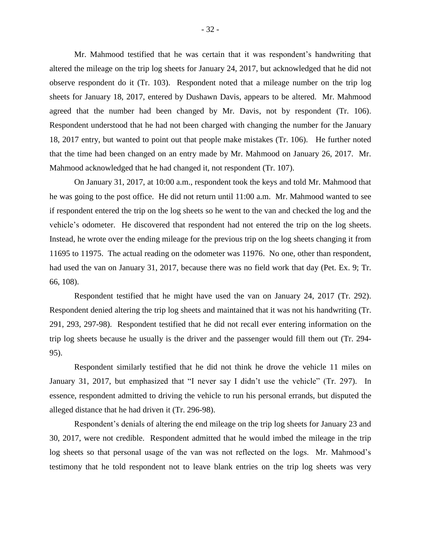Mr. Mahmood testified that he was certain that it was respondent's handwriting that altered the mileage on the trip log sheets for January 24, 2017, but acknowledged that he did not observe respondent do it (Tr. 103). Respondent noted that a mileage number on the trip log sheets for January 18, 2017, entered by Dushawn Davis, appears to be altered. Mr. Mahmood agreed that the number had been changed by Mr. Davis, not by respondent (Tr. 106). Respondent understood that he had not been charged with changing the number for the January 18, 2017 entry, but wanted to point out that people make mistakes (Tr. 106). He further noted that the time had been changed on an entry made by Mr. Mahmood on January 26, 2017. Mr. Mahmood acknowledged that he had changed it, not respondent (Tr. 107).

On January 31, 2017, at 10:00 a.m., respondent took the keys and told Mr. Mahmood that he was going to the post office. He did not return until 11:00 a.m. Mr. Mahmood wanted to see if respondent entered the trip on the log sheets so he went to the van and checked the log and the vehicle's odometer. He discovered that respondent had not entered the trip on the log sheets. Instead, he wrote over the ending mileage for the previous trip on the log sheets changing it from 11695 to 11975. The actual reading on the odometer was 11976. No one, other than respondent, had used the van on January 31, 2017, because there was no field work that day (Pet. Ex. 9; Tr. 66, 108).

Respondent testified that he might have used the van on January 24, 2017 (Tr. 292). Respondent denied altering the trip log sheets and maintained that it was not his handwriting (Tr. 291, 293, 297-98). Respondent testified that he did not recall ever entering information on the trip log sheets because he usually is the driver and the passenger would fill them out (Tr. 294- 95).

Respondent similarly testified that he did not think he drove the vehicle 11 miles on January 31, 2017, but emphasized that "I never say I didn't use the vehicle" (Tr. 297). In essence, respondent admitted to driving the vehicle to run his personal errands, but disputed the alleged distance that he had driven it (Tr. 296-98).

Respondent's denials of altering the end mileage on the trip log sheets for January 23 and 30, 2017, were not credible. Respondent admitted that he would imbed the mileage in the trip log sheets so that personal usage of the van was not reflected on the logs. Mr. Mahmood's testimony that he told respondent not to leave blank entries on the trip log sheets was very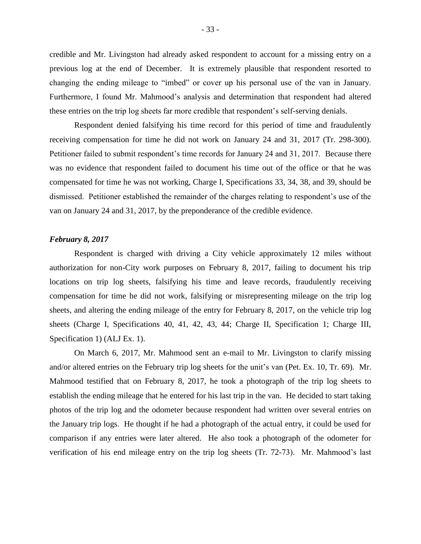credible and Mr. Livingston had already asked respondent to account for a missing entry on a previous log at the end of December. It is extremely plausible that respondent resorted to changing the ending mileage to "imbed" or cover up his personal use of the van in January. Furthermore, I found Mr. Mahmood's analysis and determination that respondent had altered these entries on the trip log sheets far more credible that respondent's self-serving denials.

Respondent denied falsifying his time record for this period of time and fraudulently receiving compensation for time he did not work on January 24 and 31, 2017 (Tr. 298-300). Petitioner failed to submit respondent's time records for January 24 and 31, 2017. Because there was no evidence that respondent failed to document his time out of the office or that he was compensated for time he was not working, Charge I, Specifications 33, 34, 38, and 39, should be dismissed. Petitioner established the remainder of the charges relating to respondent's use of the van on January 24 and 31, 2017, by the preponderance of the credible evidence.

#### *February 8, 2017*

Respondent is charged with driving a City vehicle approximately 12 miles without authorization for non-City work purposes on February 8, 2017, failing to document his trip locations on trip log sheets, falsifying his time and leave records, fraudulently receiving compensation for time he did not work, falsifying or misrepresenting mileage on the trip log sheets, and altering the ending mileage of the entry for February 8, 2017, on the vehicle trip log sheets (Charge I, Specifications 40, 41, 42, 43, 44; Charge II, Specification 1; Charge III, Specification 1) (ALJ Ex. 1).

On March 6, 2017, Mr. Mahmood sent an e-mail to Mr. Livingston to clarify missing and/or altered entries on the February trip log sheets for the unit's van (Pet. Ex. 10, Tr. 69). Mr. Mahmood testified that on February 8, 2017, he took a photograph of the trip log sheets to establish the ending mileage that he entered for his last trip in the van. He decided to start taking photos of the trip log and the odometer because respondent had written over several entries on the January trip logs. He thought if he had a photograph of the actual entry, it could be used for comparison if any entries were later altered. He also took a photograph of the odometer for verification of his end mileage entry on the trip log sheets (Tr. 72-73). Mr. Mahmood's last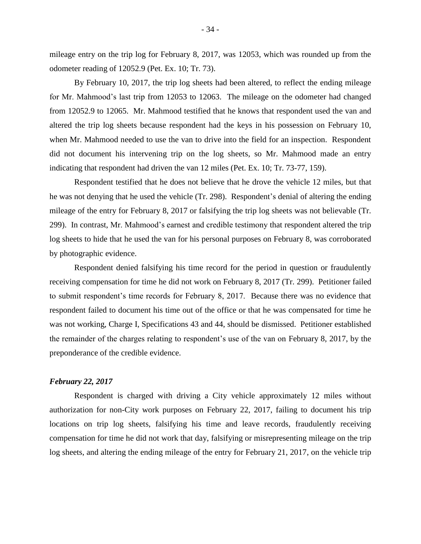mileage entry on the trip log for February 8, 2017, was 12053, which was rounded up from the odometer reading of 12052.9 (Pet. Ex. 10; Tr. 73).

By February 10, 2017, the trip log sheets had been altered, to reflect the ending mileage for Mr. Mahmood's last trip from 12053 to 12063. The mileage on the odometer had changed from 12052.9 to 12065. Mr. Mahmood testified that he knows that respondent used the van and altered the trip log sheets because respondent had the keys in his possession on February 10, when Mr. Mahmood needed to use the van to drive into the field for an inspection. Respondent did not document his intervening trip on the log sheets, so Mr. Mahmood made an entry indicating that respondent had driven the van 12 miles (Pet. Ex. 10; Tr. 73-77, 159).

Respondent testified that he does not believe that he drove the vehicle 12 miles, but that he was not denying that he used the vehicle (Tr. 298). Respondent's denial of altering the ending mileage of the entry for February 8, 2017 or falsifying the trip log sheets was not believable (Tr. 299). In contrast, Mr. Mahmood's earnest and credible testimony that respondent altered the trip log sheets to hide that he used the van for his personal purposes on February 8, was corroborated by photographic evidence.

Respondent denied falsifying his time record for the period in question or fraudulently receiving compensation for time he did not work on February 8, 2017 (Tr. 299). Petitioner failed to submit respondent's time records for February 8, 2017. Because there was no evidence that respondent failed to document his time out of the office or that he was compensated for time he was not working, Charge I, Specifications 43 and 44, should be dismissed. Petitioner established the remainder of the charges relating to respondent's use of the van on February 8, 2017, by the preponderance of the credible evidence.

## *February 22, 2017*

Respondent is charged with driving a City vehicle approximately 12 miles without authorization for non-City work purposes on February 22, 2017, failing to document his trip locations on trip log sheets, falsifying his time and leave records, fraudulently receiving compensation for time he did not work that day, falsifying or misrepresenting mileage on the trip log sheets, and altering the ending mileage of the entry for February 21, 2017, on the vehicle trip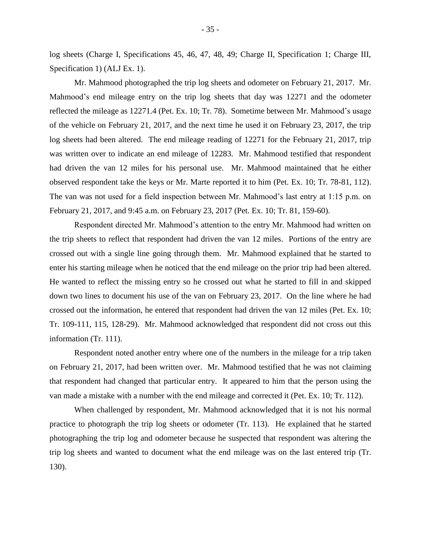log sheets (Charge I, Specifications 45, 46, 47, 48, 49; Charge II, Specification 1; Charge III, Specification 1) (ALJ Ex. 1).

Mr. Mahmood photographed the trip log sheets and odometer on February 21, 2017. Mr. Mahmood's end mileage entry on the trip log sheets that day was 12271 and the odometer reflected the mileage as 12271.4 (Pet. Ex. 10; Tr. 78). Sometime between Mr. Mahmood's usage of the vehicle on February 21, 2017, and the next time he used it on February 23, 2017, the trip log sheets had been altered. The end mileage reading of 12271 for the February 21, 2017, trip was written over to indicate an end mileage of 12283. Mr. Mahmood testified that respondent had driven the van 12 miles for his personal use. Mr. Mahmood maintained that he either observed respondent take the keys or Mr. Marte reported it to him (Pet. Ex. 10; Tr. 78-81, 112). The van was not used for a field inspection between Mr. Mahmood's last entry at 1:15 p.m. on February 21, 2017, and 9:45 a.m. on February 23, 2017 (Pet. Ex. 10; Tr. 81, 159-60).

Respondent directed Mr. Mahmood's attention to the entry Mr. Mahmood had written on the trip sheets to reflect that respondent had driven the van 12 miles. Portions of the entry are crossed out with a single line going through them. Mr. Mahmood explained that he started to enter his starting mileage when he noticed that the end mileage on the prior trip had been altered. He wanted to reflect the missing entry so he crossed out what he started to fill in and skipped down two lines to document his use of the van on February 23, 2017. On the line where he had crossed out the information, he entered that respondent had driven the van 12 miles (Pet. Ex. 10; Tr. 109-111, 115, 128-29). Mr. Mahmood acknowledged that respondent did not cross out this information (Tr. 111).

Respondent noted another entry where one of the numbers in the mileage for a trip taken on February 21, 2017, had been written over. Mr. Mahmood testified that he was not claiming that respondent had changed that particular entry. It appeared to him that the person using the van made a mistake with a number with the end mileage and corrected it (Pet. Ex. 10; Tr. 112).

When challenged by respondent, Mr. Mahmood acknowledged that it is not his normal practice to photograph the trip log sheets or odometer (Tr. 113). He explained that he started photographing the trip log and odometer because he suspected that respondent was altering the trip log sheets and wanted to document what the end mileage was on the last entered trip (Tr. 130).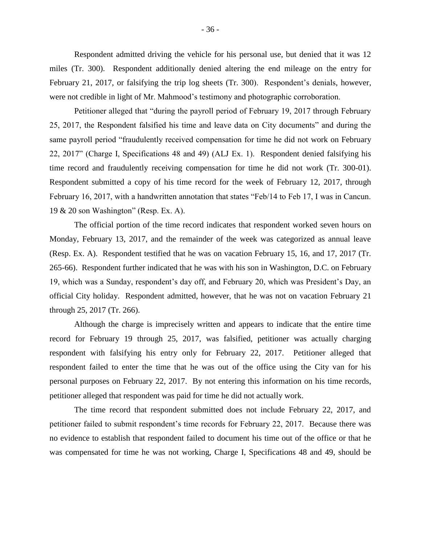Respondent admitted driving the vehicle for his personal use, but denied that it was 12 miles (Tr. 300). Respondent additionally denied altering the end mileage on the entry for February 21, 2017, or falsifying the trip log sheets (Tr. 300). Respondent's denials, however, were not credible in light of Mr. Mahmood's testimony and photographic corroboration.

Petitioner alleged that "during the payroll period of February 19, 2017 through February 25, 2017, the Respondent falsified his time and leave data on City documents" and during the same payroll period "fraudulently received compensation for time he did not work on February 22, 2017" (Charge I, Specifications 48 and 49) (ALJ Ex. 1). Respondent denied falsifying his time record and fraudulently receiving compensation for time he did not work (Tr. 300-01). Respondent submitted a copy of his time record for the week of February 12, 2017, through February 16, 2017, with a handwritten annotation that states "Feb/14 to Feb 17, I was in Cancun. 19 & 20 son Washington" (Resp. Ex. A).

The official portion of the time record indicates that respondent worked seven hours on Monday, February 13, 2017, and the remainder of the week was categorized as annual leave (Resp. Ex. A). Respondent testified that he was on vacation February 15, 16, and 17, 2017 (Tr. 265-66). Respondent further indicated that he was with his son in Washington, D.C. on February 19, which was a Sunday, respondent's day off, and February 20, which was President's Day, an official City holiday. Respondent admitted, however, that he was not on vacation February 21 through 25, 2017 (Tr. 266).

Although the charge is imprecisely written and appears to indicate that the entire time record for February 19 through 25, 2017, was falsified, petitioner was actually charging respondent with falsifying his entry only for February 22, 2017. Petitioner alleged that respondent failed to enter the time that he was out of the office using the City van for his personal purposes on February 22, 2017. By not entering this information on his time records, petitioner alleged that respondent was paid for time he did not actually work.

The time record that respondent submitted does not include February 22, 2017, and petitioner failed to submit respondent's time records for February 22, 2017. Because there was no evidence to establish that respondent failed to document his time out of the office or that he was compensated for time he was not working, Charge I, Specifications 48 and 49, should be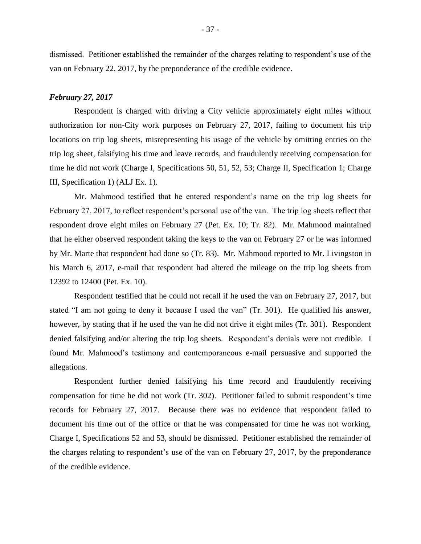dismissed. Petitioner established the remainder of the charges relating to respondent's use of the van on February 22, 2017, by the preponderance of the credible evidence.

#### *February 27, 2017*

Respondent is charged with driving a City vehicle approximately eight miles without authorization for non-City work purposes on February 27, 2017, failing to document his trip locations on trip log sheets, misrepresenting his usage of the vehicle by omitting entries on the trip log sheet, falsifying his time and leave records, and fraudulently receiving compensation for time he did not work (Charge I, Specifications 50, 51, 52, 53; Charge II, Specification 1; Charge III, Specification 1) (ALJ Ex. 1).

Mr. Mahmood testified that he entered respondent's name on the trip log sheets for February 27, 2017, to reflect respondent's personal use of the van. The trip log sheets reflect that respondent drove eight miles on February 27 (Pet. Ex. 10; Tr. 82). Mr. Mahmood maintained that he either observed respondent taking the keys to the van on February 27 or he was informed by Mr. Marte that respondent had done so (Tr. 83). Mr. Mahmood reported to Mr. Livingston in his March 6, 2017, e-mail that respondent had altered the mileage on the trip log sheets from 12392 to 12400 (Pet. Ex. 10).

Respondent testified that he could not recall if he used the van on February 27, 2017, but stated "I am not going to deny it because I used the van" (Tr. 301). He qualified his answer, however, by stating that if he used the van he did not drive it eight miles (Tr. 301). Respondent denied falsifying and/or altering the trip log sheets. Respondent's denials were not credible. I found Mr. Mahmood's testimony and contemporaneous e-mail persuasive and supported the allegations.

Respondent further denied falsifying his time record and fraudulently receiving compensation for time he did not work (Tr. 302). Petitioner failed to submit respondent's time records for February 27, 2017. Because there was no evidence that respondent failed to document his time out of the office or that he was compensated for time he was not working, Charge I, Specifications 52 and 53, should be dismissed. Petitioner established the remainder of the charges relating to respondent's use of the van on February 27, 2017, by the preponderance of the credible evidence.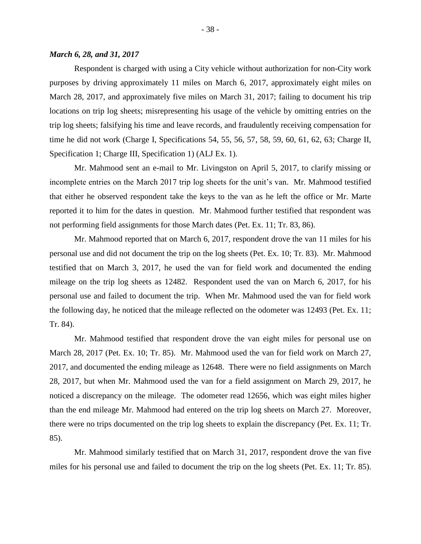Respondent is charged with using a City vehicle without authorization for non-City work purposes by driving approximately 11 miles on March 6, 2017, approximately eight miles on March 28, 2017, and approximately five miles on March 31, 2017; failing to document his trip locations on trip log sheets; misrepresenting his usage of the vehicle by omitting entries on the trip log sheets; falsifying his time and leave records, and fraudulently receiving compensation for time he did not work (Charge I, Specifications 54, 55, 56, 57, 58, 59, 60, 61, 62, 63; Charge II, Specification 1; Charge III, Specification 1) (ALJ Ex. 1).

Mr. Mahmood sent an e-mail to Mr. Livingston on April 5, 2017, to clarify missing or incomplete entries on the March 2017 trip log sheets for the unit's van. Mr. Mahmood testified that either he observed respondent take the keys to the van as he left the office or Mr. Marte reported it to him for the dates in question. Mr. Mahmood further testified that respondent was not performing field assignments for those March dates (Pet. Ex. 11; Tr. 83, 86).

Mr. Mahmood reported that on March 6, 2017, respondent drove the van 11 miles for his personal use and did not document the trip on the log sheets (Pet. Ex. 10; Tr. 83). Mr. Mahmood testified that on March 3, 2017, he used the van for field work and documented the ending mileage on the trip log sheets as 12482. Respondent used the van on March 6, 2017, for his personal use and failed to document the trip. When Mr. Mahmood used the van for field work the following day, he noticed that the mileage reflected on the odometer was 12493 (Pet. Ex. 11; Tr. 84).

Mr. Mahmood testified that respondent drove the van eight miles for personal use on March 28, 2017 (Pet. Ex. 10; Tr. 85). Mr. Mahmood used the van for field work on March 27, 2017, and documented the ending mileage as 12648. There were no field assignments on March 28, 2017, but when Mr. Mahmood used the van for a field assignment on March 29, 2017, he noticed a discrepancy on the mileage. The odometer read 12656, which was eight miles higher than the end mileage Mr. Mahmood had entered on the trip log sheets on March 27. Moreover, there were no trips documented on the trip log sheets to explain the discrepancy (Pet. Ex. 11; Tr. 85).

Mr. Mahmood similarly testified that on March 31, 2017, respondent drove the van five miles for his personal use and failed to document the trip on the log sheets (Pet. Ex. 11; Tr. 85).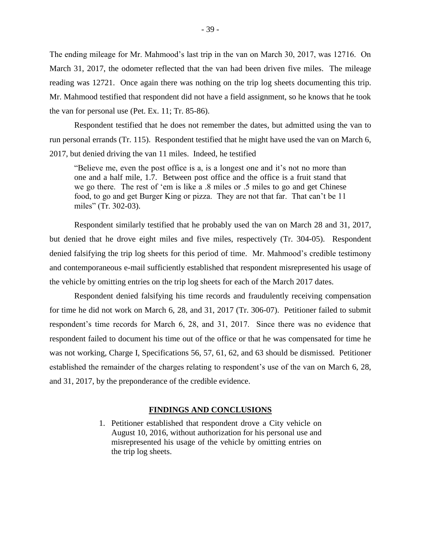The ending mileage for Mr. Mahmood's last trip in the van on March 30, 2017, was 12716. On March 31, 2017, the odometer reflected that the van had been driven five miles. The mileage reading was 12721. Once again there was nothing on the trip log sheets documenting this trip. Mr. Mahmood testified that respondent did not have a field assignment, so he knows that he took the van for personal use (Pet. Ex. 11; Tr. 85-86).

Respondent testified that he does not remember the dates, but admitted using the van to run personal errands (Tr. 115). Respondent testified that he might have used the van on March 6, 2017, but denied driving the van 11 miles. Indeed, he testified

"Believe me, even the post office is a, is a longest one and it's not no more than one and a half mile, 1.7. Between post office and the office is a fruit stand that we go there. The rest of 'em is like a .8 miles or .5 miles to go and get Chinese food, to go and get Burger King or pizza. They are not that far. That can't be 11 miles" (Tr. 302-03).

Respondent similarly testified that he probably used the van on March 28 and 31, 2017, but denied that he drove eight miles and five miles, respectively (Tr. 304-05). Respondent denied falsifying the trip log sheets for this period of time. Mr. Mahmood's credible testimony and contemporaneous e-mail sufficiently established that respondent misrepresented his usage of the vehicle by omitting entries on the trip log sheets for each of the March 2017 dates.

Respondent denied falsifying his time records and fraudulently receiving compensation for time he did not work on March 6, 28, and 31, 2017 (Tr. 306-07). Petitioner failed to submit respondent's time records for March 6, 28, and 31, 2017. Since there was no evidence that respondent failed to document his time out of the office or that he was compensated for time he was not working, Charge I, Specifications 56, 57, 61, 62, and 63 should be dismissed. Petitioner established the remainder of the charges relating to respondent's use of the van on March 6, 28, and 31, 2017, by the preponderance of the credible evidence.

#### **FINDINGS AND CONCLUSIONS**

1. Petitioner established that respondent drove a City vehicle on August 10, 2016, without authorization for his personal use and misrepresented his usage of the vehicle by omitting entries on the trip log sheets.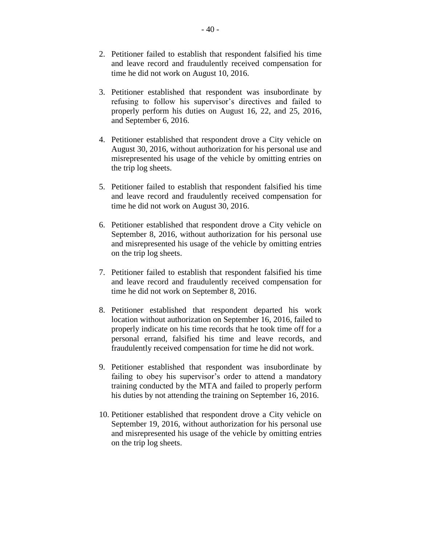- 2. Petitioner failed to establish that respondent falsified his time and leave record and fraudulently received compensation for time he did not work on August 10, 2016.
- 3. Petitioner established that respondent was insubordinate by refusing to follow his supervisor's directives and failed to properly perform his duties on August 16, 22, and 25, 2016, and September 6, 2016.
- 4. Petitioner established that respondent drove a City vehicle on August 30, 2016, without authorization for his personal use and misrepresented his usage of the vehicle by omitting entries on the trip log sheets.
- 5. Petitioner failed to establish that respondent falsified his time and leave record and fraudulently received compensation for time he did not work on August 30, 2016.
- 6. Petitioner established that respondent drove a City vehicle on September 8, 2016, without authorization for his personal use and misrepresented his usage of the vehicle by omitting entries on the trip log sheets.
- 7. Petitioner failed to establish that respondent falsified his time and leave record and fraudulently received compensation for time he did not work on September 8, 2016.
- 8. Petitioner established that respondent departed his work location without authorization on September 16, 2016, failed to properly indicate on his time records that he took time off for a personal errand, falsified his time and leave records, and fraudulently received compensation for time he did not work.
- 9. Petitioner established that respondent was insubordinate by failing to obey his supervisor's order to attend a mandatory training conducted by the MTA and failed to properly perform his duties by not attending the training on September 16, 2016.
- 10. Petitioner established that respondent drove a City vehicle on September 19, 2016, without authorization for his personal use and misrepresented his usage of the vehicle by omitting entries on the trip log sheets.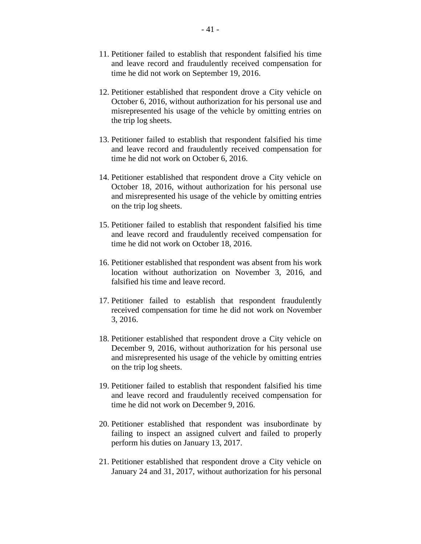- 11. Petitioner failed to establish that respondent falsified his time and leave record and fraudulently received compensation for time he did not work on September 19, 2016.
- 12. Petitioner established that respondent drove a City vehicle on October 6, 2016, without authorization for his personal use and misrepresented his usage of the vehicle by omitting entries on the trip log sheets.
- 13. Petitioner failed to establish that respondent falsified his time and leave record and fraudulently received compensation for time he did not work on October 6, 2016.
- 14. Petitioner established that respondent drove a City vehicle on October 18, 2016, without authorization for his personal use and misrepresented his usage of the vehicle by omitting entries on the trip log sheets.
- 15. Petitioner failed to establish that respondent falsified his time and leave record and fraudulently received compensation for time he did not work on October 18, 2016.
- 16. Petitioner established that respondent was absent from his work location without authorization on November 3, 2016, and falsified his time and leave record.
- 17. Petitioner failed to establish that respondent fraudulently received compensation for time he did not work on November 3, 2016.
- 18. Petitioner established that respondent drove a City vehicle on December 9, 2016, without authorization for his personal use and misrepresented his usage of the vehicle by omitting entries on the trip log sheets.
- 19. Petitioner failed to establish that respondent falsified his time and leave record and fraudulently received compensation for time he did not work on December 9, 2016.
- 20. Petitioner established that respondent was insubordinate by failing to inspect an assigned culvert and failed to properly perform his duties on January 13, 2017.
- 21. Petitioner established that respondent drove a City vehicle on January 24 and 31, 2017, without authorization for his personal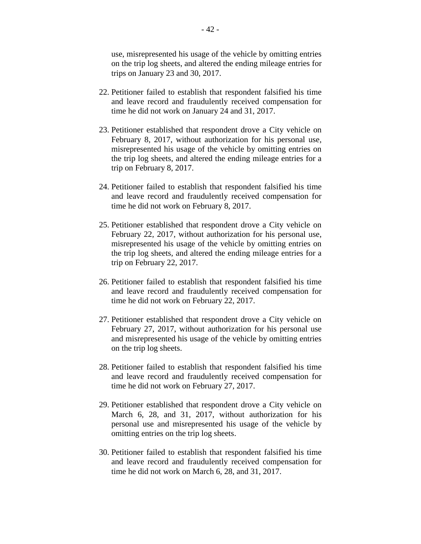use, misrepresented his usage of the vehicle by omitting entries on the trip log sheets, and altered the ending mileage entries for trips on January 23 and 30, 2017.

- 22. Petitioner failed to establish that respondent falsified his time and leave record and fraudulently received compensation for time he did not work on January 24 and 31, 2017.
- 23. Petitioner established that respondent drove a City vehicle on February 8, 2017, without authorization for his personal use, misrepresented his usage of the vehicle by omitting entries on the trip log sheets, and altered the ending mileage entries for a trip on February 8, 2017.
- 24. Petitioner failed to establish that respondent falsified his time and leave record and fraudulently received compensation for time he did not work on February 8, 2017.
- 25. Petitioner established that respondent drove a City vehicle on February 22, 2017, without authorization for his personal use, misrepresented his usage of the vehicle by omitting entries on the trip log sheets, and altered the ending mileage entries for a trip on February 22, 2017.
- 26. Petitioner failed to establish that respondent falsified his time and leave record and fraudulently received compensation for time he did not work on February 22, 2017.
- 27. Petitioner established that respondent drove a City vehicle on February 27, 2017, without authorization for his personal use and misrepresented his usage of the vehicle by omitting entries on the trip log sheets.
- 28. Petitioner failed to establish that respondent falsified his time and leave record and fraudulently received compensation for time he did not work on February 27, 2017.
- 29. Petitioner established that respondent drove a City vehicle on March 6, 28, and 31, 2017, without authorization for his personal use and misrepresented his usage of the vehicle by omitting entries on the trip log sheets.
- 30. Petitioner failed to establish that respondent falsified his time and leave record and fraudulently received compensation for time he did not work on March 6, 28, and 31, 2017.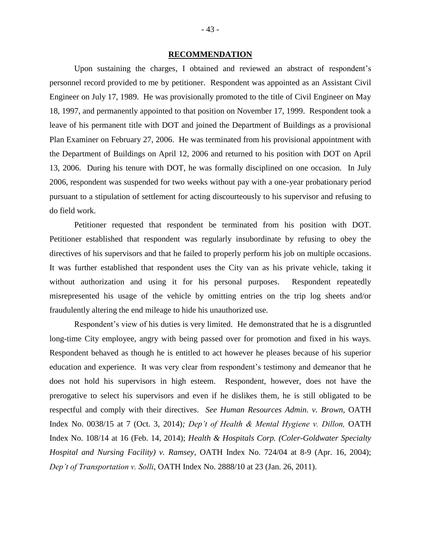#### **RECOMMENDATION**

Upon sustaining the charges, I obtained and reviewed an abstract of respondent's personnel record provided to me by petitioner. Respondent was appointed as an Assistant Civil Engineer on July 17, 1989. He was provisionally promoted to the title of Civil Engineer on May 18, 1997, and permanently appointed to that position on November 17, 1999. Respondent took a leave of his permanent title with DOT and joined the Department of Buildings as a provisional Plan Examiner on February 27, 2006. He was terminated from his provisional appointment with the Department of Buildings on April 12, 2006 and returned to his position with DOT on April 13, 2006. During his tenure with DOT, he was formally disciplined on one occasion. In July 2006, respondent was suspended for two weeks without pay with a one-year probationary period pursuant to a stipulation of settlement for acting discourteously to his supervisor and refusing to do field work.

Petitioner requested that respondent be terminated from his position with DOT. Petitioner established that respondent was regularly insubordinate by refusing to obey the directives of his supervisors and that he failed to properly perform his job on multiple occasions. It was further established that respondent uses the City van as his private vehicle, taking it without authorization and using it for his personal purposes. Respondent repeatedly misrepresented his usage of the vehicle by omitting entries on the trip log sheets and/or fraudulently altering the end mileage to hide his unauthorized use.

Respondent's view of his duties is very limited. He demonstrated that he is a disgruntled long-time City employee, angry with being passed over for promotion and fixed in his ways. Respondent behaved as though he is entitled to act however he pleases because of his superior education and experience. It was very clear from respondent's testimony and demeanor that he does not hold his supervisors in high esteem. Respondent, however, does not have the prerogative to select his supervisors and even if he dislikes them, he is still obligated to be respectful and comply with their directives. *See Human Resources Admin. v. Brown,* OATH Index No. 0038/15 at 7 (Oct. 3, 2014)*; Dep't of Health & Mental Hygiene v. Dillon,* OATH Index No. 108/14 at 16 (Feb. 14, 2014); *Health & Hospitals Corp. (Coler-Goldwater Specialty Hospital and Nursing Facility) v. Ramsey*, OATH Index No. 724/04 at 8-9 (Apr. 16, 2004); *Dep't of Transportation v. Solli*, OATH Index No. 2888/10 at 23 (Jan. 26, 2011).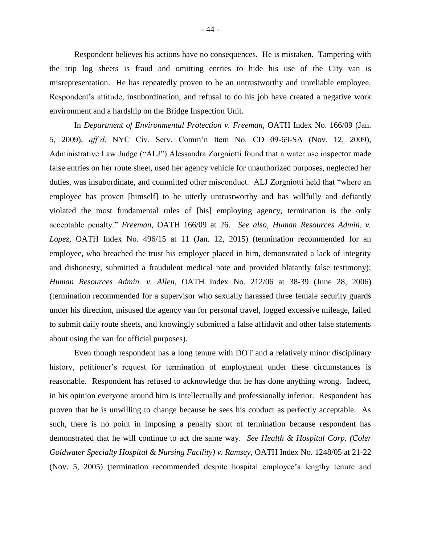Respondent believes his actions have no consequences. He is mistaken. Tampering with the trip log sheets is fraud and omitting entries to hide his use of the City van is misrepresentation. He has repeatedly proven to be an untrustworthy and unreliable employee. Respondent's attitude, insubordination, and refusal to do his job have created a negative work environment and a hardship on the Bridge Inspection Unit.

In *Department of Environmental Protection v. Freeman*, OATH Index No. 166/09 (Jan. 5, 2009), *aff'd*, NYC Civ. Serv. Comm'n Item No. CD 09-69-SA (Nov. 12, 2009), Administrative Law Judge ("ALJ") Alessandra Zorgniotti found that a water use inspector made false entries on her route sheet, used her agency vehicle for unauthorized purposes, neglected her duties, was insubordinate, and committed other misconduct. ALJ Zorgniotti held that "where an employee has proven [himself] to be utterly untrustworthy and has willfully and defiantly violated the most fundamental rules of [his] employing agency, termination is the only acceptable penalty." *Freeman*, OATH 166/09 at 26. *See also, Human Resources Admin. v. Lopez,* OATH Index No. 496/15 at 11 (Jan. 12, 2015) (termination recommended for an employee, who breached the trust his employer placed in him, demonstrated a lack of integrity and dishonesty, submitted a fraudulent medical note and provided blatantly false testimony); *Human Resources Admin. v. Allen*, OATH Index No. 212/06 at 38-39 (June 28, 2006) (termination recommended for a supervisor who sexually harassed three female security guards under his direction, misused the agency van for personal travel, logged excessive mileage, failed to submit daily route sheets, and knowingly submitted a false affidavit and other false statements about using the van for official purposes).

Even though respondent has a long tenure with DOT and a relatively minor disciplinary history, petitioner's request for termination of employment under these circumstances is reasonable. Respondent has refused to acknowledge that he has done anything wrong. Indeed, in his opinion everyone around him is intellectually and professionally inferior. Respondent has proven that he is unwilling to change because he sees his conduct as perfectly acceptable. As such, there is no point in imposing a penalty short of termination because respondent has demonstrated that he will continue to act the same way. *See Health & Hospital Corp. (Coler Goldwater Specialty Hospital & Nursing Facility) v. Ramsey*, OATH Index No. 1248/05 at 21-22 (Nov. 5, 2005) (termination recommended despite hospital employee's lengthy tenure and